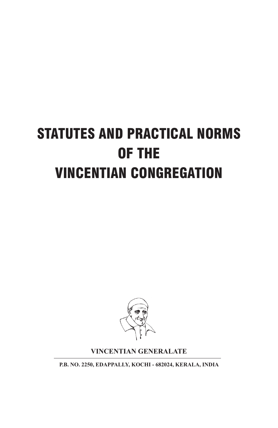# STATUTES AND PRACTICAL NORMS OF THE VINCENTIAN CONGREGATION



#### **VINCENTIAN GENERALATE**

**P.B. NO. 2250, EDAPPALLY, KOCHI - 682024, KERALA, INDIA**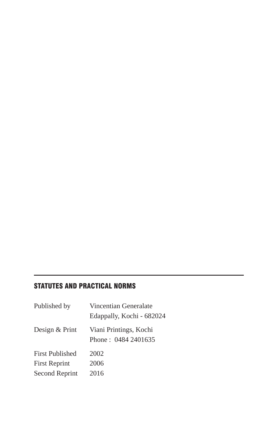#### STATUTES AND PRACTICAL NORMS

| Published by          | Vincentian Generalate<br>Edappally, Kochi - 682024 |
|-----------------------|----------------------------------------------------|
| Design & Print        | Viani Printings, Kochi<br>Phone: 0484 2401635      |
| First Published       | 2002                                               |
| <b>First Reprint</b>  | 2006                                               |
| <b>Second Reprint</b> | 2016                                               |
|                       |                                                    |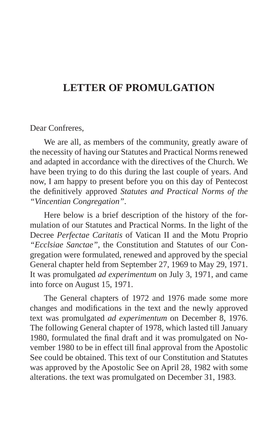## **LETTER OF PROMULGATION**

#### Dear Confreres,

We are all, as members of the community, greatly aware of the necessity of having our Statutes and Practical Norms renewed and adapted in accordance with the directives of the Church. We have been trying to do this during the last couple of years. And now, I am happy to present before you on this day of Pentecost the definitively approved *Statutes and Practical Norms of the "Vincentian Congregation"*.

Here below is a brief description of the history of the formulation of our Statutes and Practical Norms. In the light of the Decree *Perfectae Caritatis* of Vatican II and the Motu Proprio *"Ecclsiae Sanctae"*, the Constitution and Statutes of our Congregation were formulated, renewed and approved by the special General chapter held from September 27, 1969 to May 29, 1971. It was promulgated *ad experimentum* on July 3, 1971, and came into force on August 15, 1971.

The General chapters of 1972 and 1976 made some more changes and modifications in the text and the newly approved text was promulgated *ad experimentum* on December 8, 1976. The following General chapter of 1978, which lasted till January 1980, formulated the final draft and it was promulgated on November 1980 to be in effect till final approval from the Apostolic See could be obtained. This text of our Constitution and Statutes was approved by the Apostolic See on April 28, 1982 with some alterations. the text was promulgated on December 31, 1983.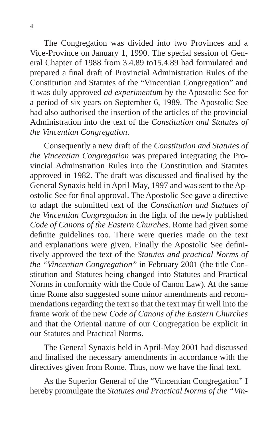The Congregation was divided into two Provinces and a Vice-Province on January 1, 1990. The special session of General Chapter of 1988 from 3.4.89 to15.4.89 had formulated and prepared a final draft of Provincial Administration Rules of the Constitution and Statutes of the "Vincentian Congregation" and it was duly approved *ad experimentum* by the Apostolic See for a period of six years on September 6, 1989. The Apostolic See had also authorised the insertion of the articles of the provincial Administration into the text of the *Constitution and Statutes of the Vincentian Congregation*.

Consequently a new draft of the *Constitution and Statutes of the Vincentian Congregation* was prepared integrating the Provincial Adminstration Rules into the Constitution and Statutes approved in 1982. The draft was discussed and finalised by the General Synaxis held in April-May, 1997 and was sent to the Apostolic See for final approval. The Apostolic See gave a directive to adapt the submitted text of the *Constitution and Statutes of the Vincentian Congregation* in the light of the newly published *Code of Canons of the Eastern Churches*. Rome had given some definite guidelines too. There were queries made on the text and explanations were given. Finally the Apostolic See definitively approved the text of the *Statutes and practical Norms of the "Vincentian Congregation"* in February 2001 (the title Constitution and Statutes being changed into Statutes and Practical Norms in conformity with the Code of Canon Law). At the same time Rome also suggested some minor amendments and recommendations regarding the text so that the text may fit well into the frame work of the new *Code of Canons of the Eastern Churches* and that the Oriental nature of our Congregation be explicit in our Statutes and Practical Norms.

The General Synaxis held in April-May 2001 had discussed and finalised the necessary amendments in accordance with the directives given from Rome. Thus, now we have the final text.

As the Superior General of the "Vincentian Congregation" I hereby promulgate the *Statutes and Practical Norms of the "Vin-*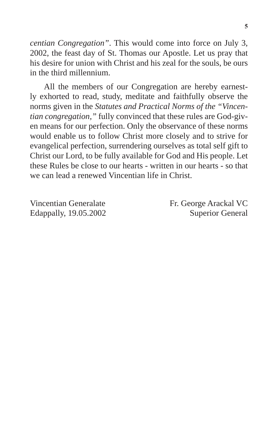*centian Congregation"*. This would come into force on July 3, 2002, the feast day of St. Thomas our Apostle. Let us pray that his desire for union with Christ and his zeal for the souls, be ours in the third millennium.

All the members of our Congregation are hereby earnestly exhorted to read, study, meditate and faithfully observe the norms given in the *Statutes and Practical Norms of the "Vincentian congregation,"* fully convinced that these rules are God-given means for our perfection. Only the observance of these norms would enable us to follow Christ more closely and to strive for evangelical perfection, surrendering ourselves as total self gift to Christ our Lord, to be fully available for God and His people. Let these Rules be close to our hearts - written in our hearts - so that we can lead a renewed Vincentian life in Christ.

Vincentian Generalate Fr. George Arackal VC Edappally, 19.05.2002 Superior General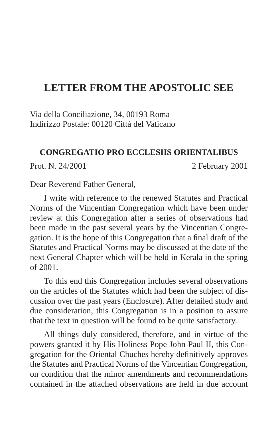## **LETTER FROM THE APOSTOLIC SEE**

Via della Conciliazione, 34, 00193 Roma Indirizzo Postale: 00120 Cittá del Vaticano

#### **CONGREGATIO PRO ECCLESIIS ORIENTALIBUS**

Prot. N. 24/2001 2 February 2001

Dear Reverend Father General,

I write with reference to the renewed Statutes and Practical Norms of the Vincentian Congregation which have been under review at this Congregation after a series of observations had been made in the past several years by the Vincentian Congregation. It is the hope of this Congregation that a final draft of the Statutes and Practical Norms may be discussed at the date of the next General Chapter which will be held in Kerala in the spring of 2001.

To this end this Congregation includes several observations on the articles of the Statutes which had been the subject of discussion over the past years (Enclosure). After detailed study and due consideration, this Congregation is in a position to assure that the text in question will be found to be quite satisfactory.

All things duly considered, therefore, and in virtue of the powers granted it by His Holiness Pope John Paul II, this Congregation for the Oriental Chuches hereby definitively approves the Statutes and Practical Norms of the Vincentian Congregation, on condition that the minor amendments and recommendations contained in the attached observations are held in due account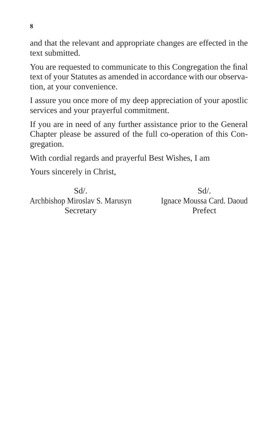and that the relevant and appropriate changes are effected in the text submitted.

You are requested to communicate to this Congregation the final text of your Statutes as amended in accordance with our observation, at your convenience.

I assure you once more of my deep appreciation of your apostlic services and your prayerful commitment.

If you are in need of any further assistance prior to the General Chapter please be assured of the full co-operation of this Congregation.

With cordial regards and prayerful Best Wishes, I am

Yours sincerely in Christ,

Sd/. Archbishop Miroslav S. Marusyn **Secretary** 

Sd/. Ignace Moussa Card. Daoud Prefect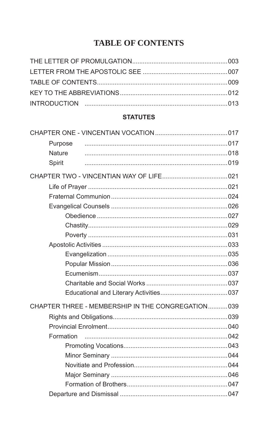## **TABLE OF CONTENTS**

#### **STATUTES**

| Purpose       |                                                    |  |
|---------------|----------------------------------------------------|--|
| <b>Nature</b> |                                                    |  |
| Spirit        |                                                    |  |
|               |                                                    |  |
|               |                                                    |  |
|               |                                                    |  |
|               |                                                    |  |
|               |                                                    |  |
|               |                                                    |  |
|               |                                                    |  |
|               |                                                    |  |
|               |                                                    |  |
|               |                                                    |  |
|               |                                                    |  |
|               |                                                    |  |
|               |                                                    |  |
|               | CHAPTER THREE - MEMBERSHIP IN THE CONGREGATION 039 |  |
|               |                                                    |  |
|               |                                                    |  |
| Formation     |                                                    |  |
|               |                                                    |  |
|               |                                                    |  |
|               |                                                    |  |
|               |                                                    |  |
|               |                                                    |  |
|               |                                                    |  |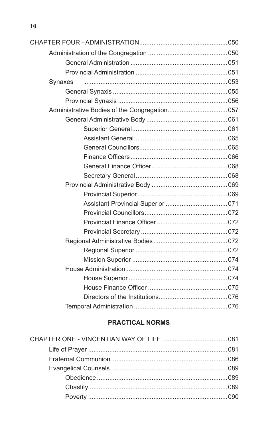| Synaxes |  |
|---------|--|
|         |  |
|         |  |
|         |  |
|         |  |
|         |  |
|         |  |
|         |  |
|         |  |
|         |  |
|         |  |
|         |  |
|         |  |
|         |  |
|         |  |
|         |  |
|         |  |
|         |  |
|         |  |
|         |  |
|         |  |
|         |  |
|         |  |
|         |  |
|         |  |

#### **PRACTICAL NORMS**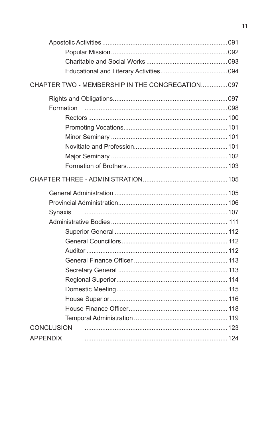|                 | CHAPTER TWO - MEMBERSHIP IN THE CONGREGATION 097 |  |
|-----------------|--------------------------------------------------|--|
|                 |                                                  |  |
| Formation       |                                                  |  |
|                 |                                                  |  |
|                 |                                                  |  |
|                 |                                                  |  |
|                 |                                                  |  |
|                 |                                                  |  |
|                 |                                                  |  |
|                 |                                                  |  |
|                 |                                                  |  |
|                 |                                                  |  |
| Synaxis         |                                                  |  |
|                 |                                                  |  |
|                 |                                                  |  |
|                 |                                                  |  |
|                 |                                                  |  |
|                 |                                                  |  |
|                 |                                                  |  |
|                 |                                                  |  |
|                 |                                                  |  |
|                 |                                                  |  |
|                 |                                                  |  |
|                 |                                                  |  |
| CONCLUSION      |                                                  |  |
| <b>APPENDIX</b> |                                                  |  |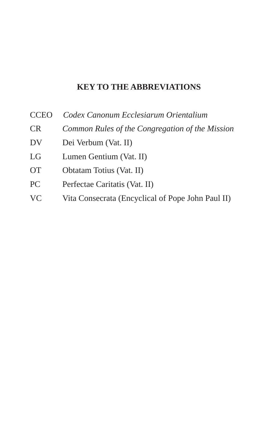#### **KEY TO THE ABBREVIATIONS**

- CCEO *Codex Canonum Ecclesiarum Orientalium*
- CR *Common Rules of the Congregation of the Mission*
- DV Dei Verbum (Vat. II)
- LG Lumen Gentium (Vat. II)
- OT Obtatam Totius (Vat. II)
- PC Perfectae Caritatis (Vat. II)
- VC Vita Consecrata (Encyclical of Pope John Paul II)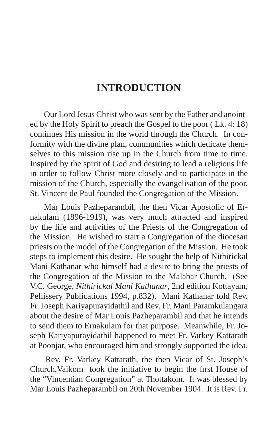## **INTRODUCTION**

Our Lord Jesus Christ who was sent by the Father and anointed by the Holy Spirit to preach the Gospel to the poor ( Lk. 4: 18) continues His mission in the world through the Church. In conformity with the divine plan, communities which dedicate themselves to this mission rise up in the Church from time to time. Inspired by the spirit of God and desiring to lead a religious life in order to follow Christ more closely and to participate in the mission of the Church, especially the evangelisation of the poor, St. Vincent de Paul founded the Congregation of the Mission.

Mar Louis Pazheparambil, the then Vicar Apostolic of Ernakulam (1896-1919), was very much attracted and inspired by the life and activities of the Priests of the Congregation of the Mission. He wished to start a Congregation of the diocesan priests on the model of the Congregation of the Mission. He took steps to implement this desire. He sought the help of Nithirickal Mani Kathanar who himself had a desire to bring the priests of the Congregation of the Mission to the Malabar Church. (See V.C. George, *Nithirickal Mani Kathanar*, 2nd edition Kottayam, Pellissery Publications 1994, p.832). Mani Kathanar told Rev. Fr. Joseph Kariyapurayidathil and Rev. Fr. Mani Paramkulangara about the desire of Mar Louis Pazheparambil and that he intends to send them to Ernakulam for that purpose. Meanwhile, Fr. Joseph Kariyapurayidathil happened to meet Fr. Varkey Kattarath at Poonjar, who encouraged him and strongly supported the idea.

Rev. Fr. Varkey Kattarath, the then Vicar of St. Joseph's Church,Vaikom took the initiative to begin the first House of the "Vincentian Congregation" at Thottakom. It was blessed by Mar Louis Pazheparambil on 20th November 1904. It is Rev. Fr.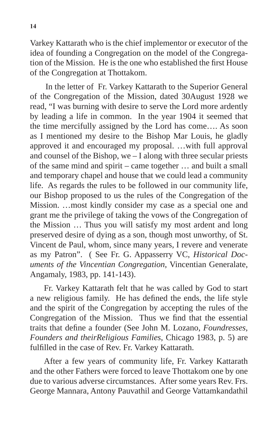Varkey Kattarath who is the chief implementor or executor of the idea of founding a Congregation on the model of the Congregation of the Mission. He is the one who established the first House of the Congregation at Thottakom.

In the letter of Fr. Varkey Kattarath to the Superior General of the Congregation of the Mission, dated 30August 1928 we read, "I was burning with desire to serve the Lord more ardently by leading a life in common. In the year 1904 it seemed that the time mercifully assigned by the Lord has come…. As soon as I mentioned my desire to the Bishop Mar Louis, he gladly approved it and encouraged my proposal. …with full approval and counsel of the Bishop, we – I along with three secular priests of the same mind and spirit – came together … and built a small and temporary chapel and house that we could lead a community life. As regards the rules to be followed in our community life, our Bishop proposed to us the rules of the Congregation of the Mission. …most kindly consider my case as a special one and grant me the privilege of taking the vows of the Congregation of the Mission … Thus you will satisfy my most ardent and long preserved desire of dying as a son, though most unworthy, of St. Vincent de Paul, whom, since many years, I revere and venerate as my Patron". ( See Fr. G. Appasserry VC, *Historical Documents of the Vincentian Congregation*, Vincentian Generalate, Angamaly, 1983, pp. 141-143).

Fr. Varkey Kattarath felt that he was called by God to start a new religious family. He has defined the ends, the life style and the spirit of the Congregation by accepting the rules of the Congregation of the Mission. Thus we find that the essential traits that define a founder (See John M. Lozano, *Foundresses, Founders and theirReligious Families*, Chicago 1983, p. 5) are fulfilled in the case of Rev. Fr. Varkey Kattarath.

After a few years of community life, Fr. Varkey Kattarath and the other Fathers were forced to leave Thottakom one by one due to various adverse circumstances. After some years Rev. Frs. George Mannara, Antony Pauvathil and George Vattamkandathil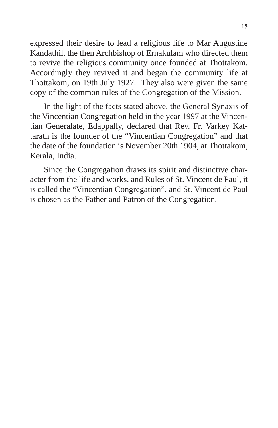expressed their desire to lead a religious life to Mar Augustine Kandathil, the then Archbishop of Ernakulam who directed them to revive the religious community once founded at Thottakom. Accordingly they revived it and began the community life at Thottakom, on 19th July 1927. They also were given the same copy of the common rules of the Congregation of the Mission.

In the light of the facts stated above, the General Synaxis of the Vincentian Congregation held in the year 1997 at the Vincentian Generalate, Edappally, declared that Rev. Fr. Varkey Kattarath is the founder of the "Vincentian Congregation" and that the date of the foundation is November 20th 1904, at Thottakom, Kerala, India.

Since the Congregation draws its spirit and distinctive character from the life and works, and Rules of St. Vincent de Paul, it is called the "Vincentian Congregation", and St. Vincent de Paul is chosen as the Father and Patron of the Congregation.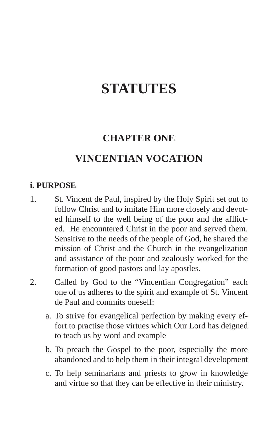## **STATUTES**

## **CHAPTER ONE**

## **VINCENTIAN VOCATION**

#### **i. PURPOSE**

- 1. St. Vincent de Paul, inspired by the Holy Spirit set out to follow Christ and to imitate Him more closely and devoted himself to the well being of the poor and the afflicted. He encountered Christ in the poor and served them. Sensitive to the needs of the people of God, he shared the mission of Christ and the Church in the evangelization and assistance of the poor and zealously worked for the formation of good pastors and lay apostles.
- 2. Called by God to the "Vincentian Congregation" each one of us adheres to the spirit and example of St. Vincent de Paul and commits oneself:
	- a. To strive for evangelical perfection by making every effort to practise those virtues which Our Lord has deigned to teach us by word and example
	- b. To preach the Gospel to the poor, especially the more abandoned and to help them in their integral development
	- c. To help seminarians and priests to grow in knowledge and virtue so that they can be effective in their ministry.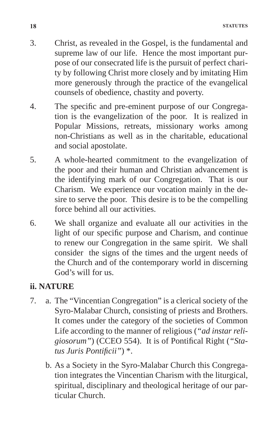- 3. Christ, as revealed in the Gospel, is the fundamental and supreme law of our life. Hence the most important purpose of our consecrated life is the pursuit of perfect charity by following Christ more closely and by imitating Him more generously through the practice of the evangelical counsels of obedience, chastity and poverty.
- 4. The specific and pre-eminent purpose of our Congregation is the evangelization of the poor. It is realized in Popular Missions, retreats, missionary works among non-Christians as well as in the charitable, educational and social apostolate.
- 5. A whole-hearted commitment to the evangelization of the poor and their human and Christian advancement is the identifying mark of our Congregation. That is our Charism. We experience our vocation mainly in the desire to serve the poor. This desire is to be the compelling force behind all our activities.
- 6. We shall organize and evaluate all our activities in the light of our specific purpose and Charism, and continue to renew our Congregation in the same spirit. We shall consider the signs of the times and the urgent needs of the Church and of the contemporary world in discerning God's will for us.

#### **ii. NATURE**

- 7. a. The "Vincentian Congregation" is a clerical society of the Syro-Malabar Church, consisting of priests and Brothers. It comes under the category of the societies of Common Life according to the manner of religious (*"ad instar religiosorum"*) (CCEO 554). It is of Pontifical Right (*"Status Juris Pontificii"*) \*.
	- b. As a Society in the Syro-Malabar Church this Congregation integrates the Vincentian Charism with the liturgical, spiritual, disciplinary and theological heritage of our particular Church.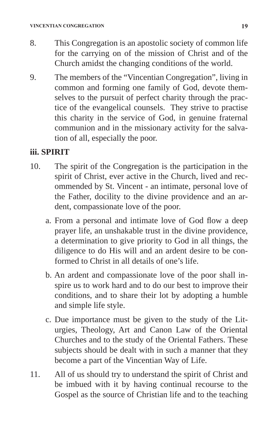- 8. This Congregation is an apostolic society of common life for the carrying on of the mission of Christ and of the Church amidst the changing conditions of the world.
- 9. The members of the "Vincentian Congregation", living in common and forming one family of God, devote themselves to the pursuit of perfect charity through the practice of the evangelical counsels. They strive to practise this charity in the service of God, in genuine fraternal communion and in the missionary activity for the salvation of all, especially the poor.

#### **iii. SPIRIT**

- 10. The spirit of the Congregation is the participation in the spirit of Christ, ever active in the Church, lived and recommended by St. Vincent - an intimate, personal love of the Father, docility to the divine providence and an ardent, compassionate love of the poor.
	- a. From a personal and intimate love of God flow a deep prayer life, an unshakable trust in the divine providence, a determination to give priority to God in all things, the diligence to do His will and an ardent desire to be conformed to Christ in all details of one's life.
	- b. An ardent and compassionate love of the poor shall inspire us to work hard and to do our best to improve their conditions, and to share their lot by adopting a humble and simple life style.
	- c. Due importance must be given to the study of the Liturgies, Theology, Art and Canon Law of the Oriental Churches and to the study of the Oriental Fathers. These subjects should be dealt with in such a manner that they become a part of the Vincentian Way of Life.
- 11. All of us should try to understand the spirit of Christ and be imbued with it by having continual recourse to the Gospel as the source of Christian life and to the teaching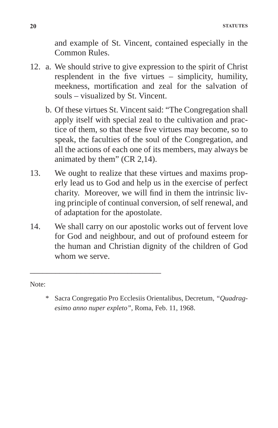and example of St. Vincent, contained especially in the Common Rules.

- 12. a. We should strive to give expression to the spirit of Christ resplendent in the five virtues – simplicity, humility, meekness, mortification and zeal for the salvation of souls – visualized by St. Vincent.
	- b. Of these virtues St. Vincent said: "The Congregation shall apply itself with special zeal to the cultivation and practice of them, so that these five virtues may become, so to speak, the faculties of the soul of the Congregation, and all the actions of each one of its members, may always be animated by them" (CR 2,14).
- 13. We ought to realize that these virtues and maxims properly lead us to God and help us in the exercise of perfect charity. Moreover, we will find in them the intrinsic living principle of continual conversion, of self renewal, and of adaptation for the apostolate.
- 14. We shall carry on our apostolic works out of fervent love for God and neighbour, and out of profound esteem for the human and Christian dignity of the children of God whom we serve.

\_\_\_\_\_\_\_\_\_\_\_\_\_\_\_\_\_\_\_\_\_\_\_\_\_\_\_\_\_\_\_

Note:

<sup>\*</sup> Sacra Congregatio Pro Ecclesiis Orientalibus, Decretum, *"Quadragesimo anno nuper expleto"*, Roma, Feb. 11, 1968.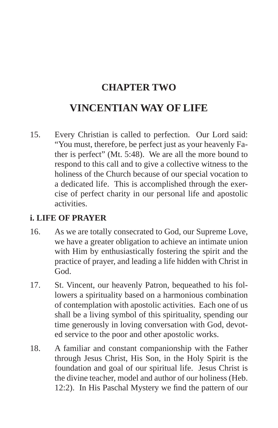## **CHAPTER TWO**

## **VINCENTIAN WAY OF LIFE**

15. Every Christian is called to perfection. Our Lord said: "You must, therefore, be perfect just as your heavenly Father is perfect" (Mt. 5:48). We are all the more bound to respond to this call and to give a collective witness to the holiness of the Church because of our special vocation to a dedicated life. This is accomplished through the exercise of perfect charity in our personal life and apostolic activities.

#### **i. LIFE OF PRAYER**

- 16. As we are totally consecrated to God, our Supreme Love, we have a greater obligation to achieve an intimate union with Him by enthusiastically fostering the spirit and the practice of prayer, and leading a life hidden with Christ in God.
- 17. St. Vincent, our heavenly Patron, bequeathed to his followers a spirituality based on a harmonious combination of contemplation with apostolic activities. Each one of us shall be a living symbol of this spirituality, spending our time generously in loving conversation with God, devoted service to the poor and other apostolic works.
- 18. A familiar and constant companionship with the Father through Jesus Christ, His Son, in the Holy Spirit is the foundation and goal of our spiritual life. Jesus Christ is the divine teacher, model and author of our holiness (Heb. 12:2). In His Paschal Mystery we find the pattern of our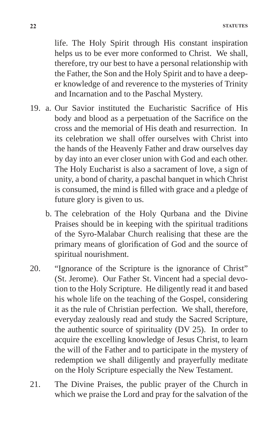life. The Holy Spirit through His constant inspiration helps us to be ever more conformed to Christ. We shall, therefore, try our best to have a personal relationship with the Father, the Son and the Holy Spirit and to have a deeper knowledge of and reverence to the mysteries of Trinity and Incarnation and to the Paschal Mystery.

- 19. a. Our Savior instituted the Eucharistic Sacrifice of His body and blood as a perpetuation of the Sacrifice on the cross and the memorial of His death and resurrection. In its celebration we shall offer ourselves with Christ into the hands of the Heavenly Father and draw ourselves day by day into an ever closer union with God and each other. The Holy Eucharist is also a sacrament of love, a sign of unity, a bond of charity, a paschal banquet in which Christ is consumed, the mind is filled with grace and a pledge of future glory is given to us.
	- b. The celebration of the Holy Qurbana and the Divine Praises should be in keeping with the spiritual traditions of the Syro-Malabar Church realising that these are the primary means of glorification of God and the source of spiritual nourishment.
- 20. "Ignorance of the Scripture is the ignorance of Christ" (St. Jerome). Our Father St. Vincent had a special devotion to the Holy Scripture. He diligently read it and based his whole life on the teaching of the Gospel, considering it as the rule of Christian perfection. We shall, therefore, everyday zealously read and study the Sacred Scripture, the authentic source of spirituality (DV 25). In order to acquire the excelling knowledge of Jesus Christ, to learn the will of the Father and to participate in the mystery of redemption we shall diligently and prayerfully meditate on the Holy Scripture especially the New Testament.
- 21. The Divine Praises, the public prayer of the Church in which we praise the Lord and pray for the salvation of the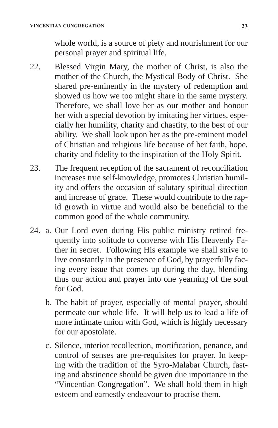whole world, is a source of piety and nourishment for our personal prayer and spiritual life.

- 22. Blessed Virgin Mary, the mother of Christ, is also the mother of the Church, the Mystical Body of Christ. She shared pre-eminently in the mystery of redemption and showed us how we too might share in the same mystery. Therefore, we shall love her as our mother and honour her with a special devotion by imitating her virtues, especially her humility, charity and chastity, to the best of our ability. We shall look upon her as the pre-eminent model of Christian and religious life because of her faith, hope, charity and fidelity to the inspiration of the Holy Spirit.
- 23. The frequent reception of the sacrament of reconciliation increases true self-knowledge, promotes Christian humility and offers the occasion of salutary spiritual direction and increase of grace. These would contribute to the rapid growth in virtue and would also be beneficial to the common good of the whole community.
- 24. a. Our Lord even during His public ministry retired frequently into solitude to converse with His Heavenly Father in secret. Following His example we shall strive to live constantly in the presence of God, by prayerfully facing every issue that comes up during the day, blending thus our action and prayer into one yearning of the soul for God.
	- b. The habit of prayer, especially of mental prayer, should permeate our whole life. It will help us to lead a life of more intimate union with God, which is highly necessary for our apostolate.
	- c. Silence, interior recollection, mortification, penance, and control of senses are pre-requisites for prayer. In keeping with the tradition of the Syro-Malabar Church, fasting and abstinence should be given due importance in the "Vincentian Congregation". We shall hold them in high esteem and earnestly endeavour to practise them.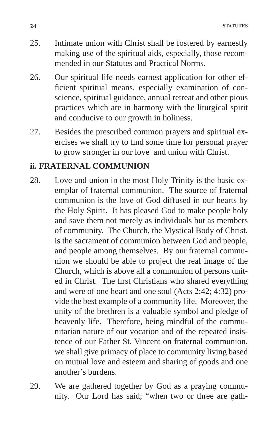- 25. Intimate union with Christ shall be fostered by earnestly making use of the spiritual aids, especially, those recommended in our Statutes and Practical Norms.
- 26. Our spiritual life needs earnest application for other efficient spiritual means, especially examination of conscience, spiritual guidance, annual retreat and other pious practices which are in harmony with the liturgical spirit and conducive to our growth in holiness.
- 27. Besides the prescribed common prayers and spiritual exercises we shall try to find some time for personal prayer to grow stronger in our love and union with Christ.

#### **ii. FRATERNAL COMMUNION**

- 28. Love and union in the most Holy Trinity is the basic exemplar of fraternal communion. The source of fraternal communion is the love of God diffused in our hearts by the Holy Spirit. It has pleased God to make people holy and save them not merely as individuals but as members of community. The Church, the Mystical Body of Christ, is the sacrament of communion between God and people, and people among themselves. By our fraternal communion we should be able to project the real image of the Church, which is above all a communion of persons united in Christ. The first Christians who shared everything and were of one heart and one soul (Acts 2:42; 4:32) provide the best example of a community life. Moreover, the unity of the brethren is a valuable symbol and pledge of heavenly life. Therefore, being mindful of the communitarian nature of our vocation and of the repeated insistence of our Father St. Vincent on fraternal communion, we shall give primacy of place to community living based on mutual love and esteem and sharing of goods and one another's burdens.
- 29. We are gathered together by God as a praying community. Our Lord has said; "when two or three are gath-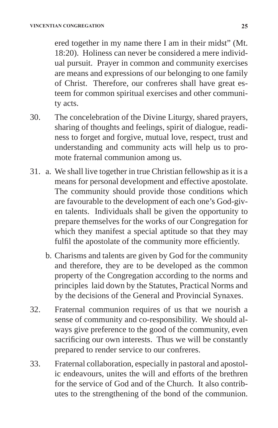ered together in my name there I am in their midst" (Mt. 18:20). Holiness can never be considered a mere individual pursuit. Prayer in common and community exercises are means and expressions of our belonging to one family of Christ. Therefore, our confreres shall have great esteem for common spiritual exercises and other community acts.

- 30. The concelebration of the Divine Liturgy, shared prayers, sharing of thoughts and feelings, spirit of dialogue, readiness to forget and forgive, mutual love, respect, trust and understanding and community acts will help us to promote fraternal communion among us.
- 31. a. We shall live together in true Christian fellowship as it is a means for personal development and effective apostolate. The community should provide those conditions which are favourable to the development of each one's God-given talents. Individuals shall be given the opportunity to prepare themselves for the works of our Congregation for which they manifest a special aptitude so that they may fulfil the apostolate of the community more efficiently.
	- b. Charisms and talents are given by God for the community and therefore, they are to be developed as the common property of the Congregation according to the norms and principles laid down by the Statutes, Practical Norms and by the decisions of the General and Provincial Synaxes.
- 32. Fraternal communion requires of us that we nourish a sense of community and co-responsibility. We should always give preference to the good of the community, even sacrificing our own interests. Thus we will be constantly prepared to render service to our confreres.
- 33. Fraternal collaboration, especially in pastoral and apostolic endeavours, unites the will and efforts of the brethren for the service of God and of the Church. It also contributes to the strengthening of the bond of the communion.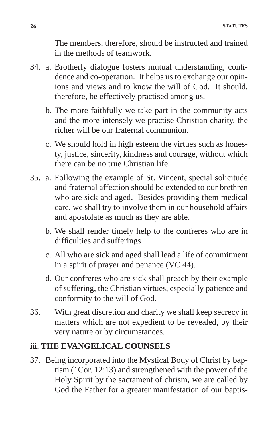The members, therefore, should be instructed and trained in the methods of teamwork.

- 34. a. Brotherly dialogue fosters mutual understanding, confidence and co-operation. It helps us to exchange our opinions and views and to know the will of God. It should, therefore, be effectively practised among us.
	- b. The more faithfully we take part in the community acts and the more intensely we practise Christian charity, the richer will be our fraternal communion.
	- c. We should hold in high esteem the virtues such as honesty, justice, sincerity, kindness and courage, without which there can be no true Christian life.
- 35. a. Following the example of St. Vincent, special solicitude and fraternal affection should be extended to our brethren who are sick and aged. Besides providing them medical care, we shall try to involve them in our household affairs and apostolate as much as they are able.
	- b. We shall render timely help to the confreres who are in difficulties and sufferings.
	- c. All who are sick and aged shall lead a life of commitment in a spirit of prayer and penance (VC 44).
	- d. Our confreres who are sick shall preach by their example of suffering, the Christian virtues, especially patience and conformity to the will of God.
- 36. With great discretion and charity we shall keep secrecy in matters which are not expedient to be revealed, by their very nature or by circumstances.

#### **iii. THE EVANGELICAL COUNSELS**

37. Being incorporated into the Mystical Body of Christ by baptism (1Cor. 12:13) and strengthened with the power of the Holy Spirit by the sacrament of chrism, we are called by God the Father for a greater manifestation of our baptis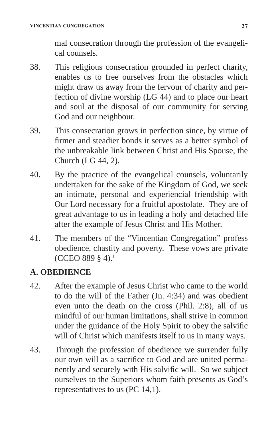mal consecration through the profession of the evangelical counsels.

- 38. This religious consecration grounded in perfect charity, enables us to free ourselves from the obstacles which might draw us away from the fervour of charity and perfection of divine worship (LG 44) and to place our heart and soul at the disposal of our community for serving God and our neighbour.
- 39. This consecration grows in perfection since, by virtue of firmer and steadier bonds it serves as a better symbol of the unbreakable link between Christ and His Spouse, the Church (LG 44, 2).
- 40. By the practice of the evangelical counsels, voluntarily undertaken for the sake of the Kingdom of God, we seek an intimate, personal and experiencial friendship with Our Lord necessary for a fruitful apostolate. They are of great advantage to us in leading a holy and detached life after the example of Jesus Christ and His Mother.
- 41. The members of the "Vincentian Congregation" profess obedience, chastity and poverty. These vows are private (CCEO 889 § 4).1

#### **A. OBEDIENCE**

- 42. After the example of Jesus Christ who came to the world to do the will of the Father (Jn. 4:34) and was obedient even unto the death on the cross (Phil. 2:8), all of us mindful of our human limitations, shall strive in common under the guidance of the Holy Spirit to obey the salvific will of Christ which manifests itself to us in many ways.
- 43. Through the profession of obedience we surrender fully our own will as a sacrifice to God and are united permanently and securely with His salvific will. So we subject ourselves to the Superiors whom faith presents as God's representatives to us (PC 14,1).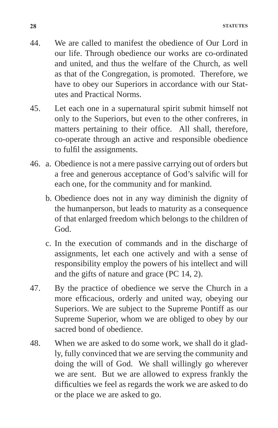- 44. We are called to manifest the obedience of Our Lord in our life. Through obedience our works are co-ordinated and united, and thus the welfare of the Church, as well as that of the Congregation, is promoted. Therefore, we have to obey our Superiors in accordance with our Statutes and Practical Norms.
- 45. Let each one in a supernatural spirit submit himself not only to the Superiors, but even to the other confreres, in matters pertaining to their office. All shall, therefore, co-operate through an active and responsible obedience to fulfil the assignments.
- 46. a. Obedience is not a mere passive carrying out of orders but a free and generous acceptance of God's salvific will for each one, for the community and for mankind.
	- b. Obedience does not in any way diminish the dignity of the humanperson, but leads to maturity as a consequence of that enlarged freedom which belongs to the children of God.
	- c. In the execution of commands and in the discharge of assignments, let each one actively and with a sense of responsibility employ the powers of his intellect and will and the gifts of nature and grace (PC 14, 2).
- 47. By the practice of obedience we serve the Church in a more efficacious, orderly and united way, obeying our Superiors. We are subject to the Supreme Pontiff as our Supreme Superior, whom we are obliged to obey by our sacred bond of obedience.
- 48. When we are asked to do some work, we shall do it gladly, fully convinced that we are serving the community and doing the will of God. We shall willingly go wherever we are sent. But we are allowed to express frankly the difficulties we feel as regards the work we are asked to do or the place we are asked to go.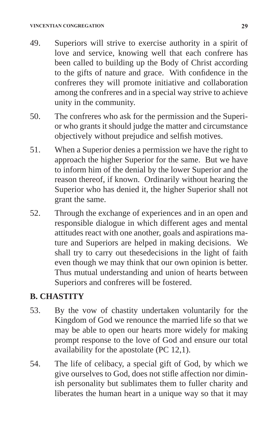- 49. Superiors will strive to exercise authority in a spirit of love and service, knowing well that each confrere has been called to building up the Body of Christ according to the gifts of nature and grace. With confidence in the confreres they will promote initiative and collaboration among the confreres and in a special way strive to achieve unity in the community.
- 50. The confreres who ask for the permission and the Superior who grants it should judge the matter and circumstance objectively without prejudice and selfish motives.
- 51. When a Superior denies a permission we have the right to approach the higher Superior for the same. But we have to inform him of the denial by the lower Superior and the reason thereof, if known. Ordinarily without hearing the Superior who has denied it, the higher Superior shall not grant the same.
- 52. Through the exchange of experiences and in an open and responsible dialogue in which different ages and mental attitudes react with one another, goals and aspirations mature and Superiors are helped in making decisions. We shall try to carry out thesedecisions in the light of faith even though we may think that our own opinion is better. Thus mutual understanding and union of hearts between Superiors and confreres will be fostered.

#### **B. CHASTITY**

- 53. By the vow of chastity undertaken voluntarily for the Kingdom of God we renounce the married life so that we may be able to open our hearts more widely for making prompt response to the love of God and ensure our total availability for the apostolate (PC 12,1).
- 54. The life of celibacy, a special gift of God, by which we give ourselves to God, does not stifle affection nor diminish personality but sublimates them to fuller charity and liberates the human heart in a unique way so that it may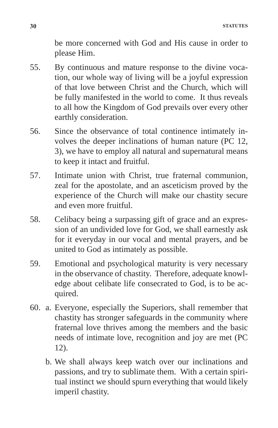be more concerned with God and His cause in order to please Him.

- 55. By continuous and mature response to the divine vocation, our whole way of living will be a joyful expression of that love between Christ and the Church, which will be fully manifested in the world to come. It thus reveals to all how the Kingdom of God prevails over every other earthly consideration.
- 56. Since the observance of total continence intimately involves the deeper inclinations of human nature (PC 12, 3), we have to employ all natural and supernatural means to keep it intact and fruitful.
- 57. Intimate union with Christ, true fraternal communion, zeal for the apostolate, and an asceticism proved by the experience of the Church will make our chastity secure and even more fruitful.
- 58. Celibacy being a surpassing gift of grace and an expression of an undivided love for God, we shall earnestly ask for it everyday in our vocal and mental prayers, and be united to God as intimately as possible.
- 59. Emotional and psychological maturity is very necessary in the observance of chastity. Therefore, adequate knowledge about celibate life consecrated to God, is to be acquired.
- 60. a. Everyone, especially the Superiors, shall remember that chastity has stronger safeguards in the community where fraternal love thrives among the members and the basic needs of intimate love, recognition and joy are met (PC 12).
	- b. We shall always keep watch over our inclinations and passions, and try to sublimate them. With a certain spiritual instinct we should spurn everything that would likely imperil chastity.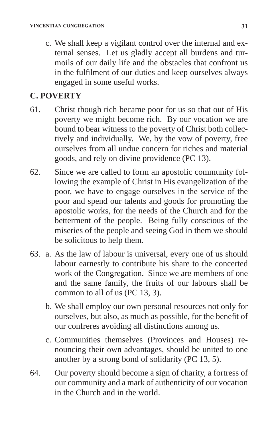c. We shall keep a vigilant control over the internal and external senses. Let us gladly accept all burdens and turmoils of our daily life and the obstacles that confront us in the fulfilment of our duties and keep ourselves always engaged in some useful works.

### **C. POVERTY**

- 61. Christ though rich became poor for us so that out of His poverty we might become rich. By our vocation we are bound to bear witness to the poverty of Christ both collectively and individually. We, by the vow of poverty, free ourselves from all undue concern for riches and material goods, and rely on divine providence (PC 13).
- 62. Since we are called to form an apostolic community following the example of Christ in His evangelization of the poor, we have to engage ourselves in the service of the poor and spend our talents and goods for promoting the apostolic works, for the needs of the Church and for the betterment of the people. Being fully conscious of the miseries of the people and seeing God in them we should be solicitous to help them.
- 63. a. As the law of labour is universal, every one of us should labour earnestly to contribute his share to the concerted work of the Congregation. Since we are members of one and the same family, the fruits of our labours shall be common to all of us (PC 13, 3).
	- b. We shall employ our own personal resources not only for ourselves, but also, as much as possible, for the benefit of our confreres avoiding all distinctions among us.
	- c. Communities themselves (Provinces and Houses) renouncing their own advantages, should be united to one another by a strong bond of solidarity (PC 13, 5).
- 64. Our poverty should become a sign of charity, a fortress of our community and a mark of authenticity of our vocation in the Church and in the world.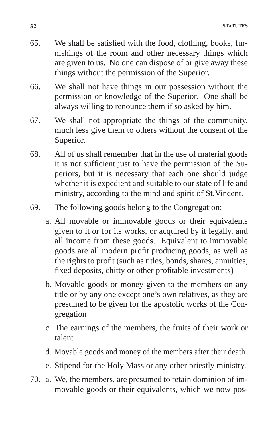- 65. We shall be satisfied with the food, clothing, books, furnishings of the room and other necessary things which are given to us. No one can dispose of or give away these things without the permission of the Superior.
- 66. We shall not have things in our possession without the permission or knowledge of the Superior. One shall be always willing to renounce them if so asked by him.
- 67. We shall not appropriate the things of the community, much less give them to others without the consent of the Superior.
- 68. All of us shall remember that in the use of material goods it is not sufficient just to have the permission of the Superiors, but it is necessary that each one should judge whether it is expedient and suitable to our state of life and ministry, according to the mind and spirit of St.Vincent.
- 69. The following goods belong to the Congregation:
	- a. All movable or immovable goods or their equivalents given to it or for its works, or acquired by it legally, and all income from these goods. Equivalent to immovable goods are all modern profit producing goods, as well as the rights to profit (such as titles, bonds, shares, annuities, fixed deposits, chitty or other profitable investments)
	- b. Movable goods or money given to the members on any title or by any one except one's own relatives, as they are presumed to be given for the apostolic works of the Congregation
	- c. The earnings of the members, the fruits of their work or talent
	- d. Movable goods and money of the members after their death
	- e. Stipend for the Holy Mass or any other priestly ministry.
- 70. a. We, the members, are presumed to retain dominion of immovable goods or their equivalents, which we now pos-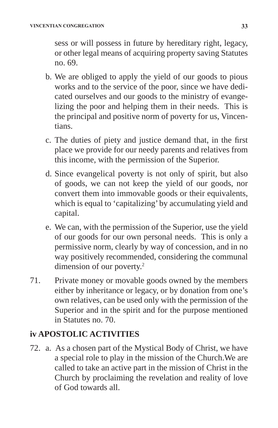sess or will possess in future by hereditary right, legacy, or other legal means of acquiring property saving Statutes no. 69.

- b. We are obliged to apply the yield of our goods to pious works and to the service of the poor, since we have dedicated ourselves and our goods to the ministry of evangelizing the poor and helping them in their needs. This is the principal and positive norm of poverty for us, Vincentians.
- c. The duties of piety and justice demand that, in the first place we provide for our needy parents and relatives from this income, with the permission of the Superior.
- d. Since evangelical poverty is not only of spirit, but also of goods, we can not keep the yield of our goods, nor convert them into immovable goods or their equivalents, which is equal to 'capitalizing' by accumulating yield and capital.
- e. We can, with the permission of the Superior, use the yield of our goods for our own personal needs. This is only a permissive norm, clearly by way of concession, and in no way positively recommended, considering the communal dimension of our poverty.<sup>2</sup>
- 71. Private money or movable goods owned by the members either by inheritance or legacy, or by donation from one's own relatives, can be used only with the permission of the Superior and in the spirit and for the purpose mentioned in Statutes no. 70.

#### **iv APOSTOLIC ACTIVITIES**

72. a. As a chosen part of the Mystical Body of Christ, we have a special role to play in the mission of the Church.We are called to take an active part in the mission of Christ in the Church by proclaiming the revelation and reality of love of God towards all.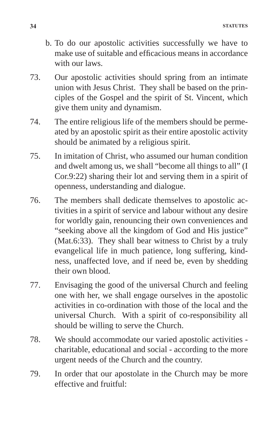- b. To do our apostolic activities successfully we have to make use of suitable and efficacious means in accordance with our laws.
- 73. Our apostolic activities should spring from an intimate union with Jesus Christ. They shall be based on the principles of the Gospel and the spirit of St. Vincent, which give them unity and dynamism.
- 74. The entire religious life of the members should be permeated by an apostolic spirit as their entire apostolic activity should be animated by a religious spirit.
- 75. In imitation of Christ, who assumed our human condition and dwelt among us, we shall "become all things to all" (I Cor.9:22) sharing their lot and serving them in a spirit of openness, understanding and dialogue.
- 76. The members shall dedicate themselves to apostolic activities in a spirit of service and labour without any desire for worldly gain, renouncing their own conveniences and "seeking above all the kingdom of God and His justice" (Mat.6:33). They shall bear witness to Christ by a truly evangelical life in much patience, long suffering, kindness, unaffected love, and if need be, even by shedding their own blood.
- 77. Envisaging the good of the universal Church and feeling one with her, we shall engage ourselves in the apostolic activities in co-ordination with those of the local and the universal Church. With a spirit of co-responsibility all should be willing to serve the Church.
- 78. We should accommodate our varied apostolic activities charitable, educational and social - according to the more urgent needs of the Church and the country.
- 79. In order that our apostolate in the Church may be more effective and fruitful: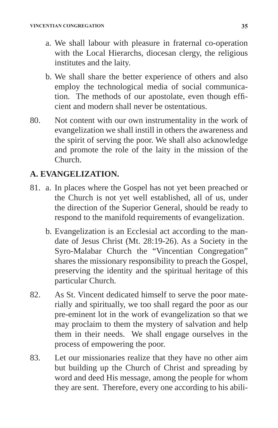- a. We shall labour with pleasure in fraternal co-operation with the Local Hierarchs, diocesan clergy, the religious institutes and the laity.
- b. We shall share the better experience of others and also employ the technological media of social communication. The methods of our apostolate, even though efficient and modern shall never be ostentatious.
- 80. Not content with our own instrumentality in the work of evangelization we shall instill in others the awareness and the spirit of serving the poor. We shall also acknowledge and promote the role of the laity in the mission of the Church.

#### **A. EVANGELIZATION.**

- 81. a. In places where the Gospel has not yet been preached or the Church is not yet well established, all of us, under the direction of the Superior General, should be ready to respond to the manifold requirements of evangelization.
	- b. Evangelization is an Ecclesial act according to the mandate of Jesus Christ (Mt. 28:19-26). As a Society in the Syro-Malabar Church the "Vincentian Congregation" shares the missionary responsibility to preach the Gospel, preserving the identity and the spiritual heritage of this particular Church.
- 82. As St. Vincent dedicated himself to serve the poor materially and spiritually, we too shall regard the poor as our pre-eminent lot in the work of evangelization so that we may proclaim to them the mystery of salvation and help them in their needs. We shall engage ourselves in the process of empowering the poor.
- 83. Let our missionaries realize that they have no other aim but building up the Church of Christ and spreading by word and deed His message, among the people for whom they are sent. Therefore, every one according to his abili-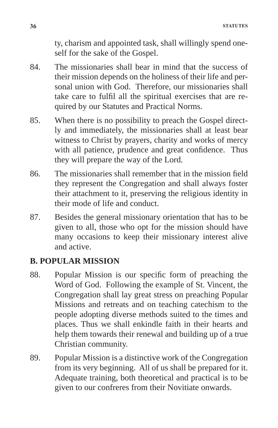ty, charism and appointed task, shall willingly spend oneself for the sake of the Gospel.

- 84. The missionaries shall bear in mind that the success of their mission depends on the holiness of their life and personal union with God. Therefore, our missionaries shall take care to fulfil all the spiritual exercises that are required by our Statutes and Practical Norms.
- 85. When there is no possibility to preach the Gospel directly and immediately, the missionaries shall at least bear witness to Christ by prayers, charity and works of mercy with all patience, prudence and great confidence. Thus they will prepare the way of the Lord.
- 86. The missionaries shall remember that in the mission field they represent the Congregation and shall always foster their attachment to it, preserving the religious identity in their mode of life and conduct.
- 87. Besides the general missionary orientation that has to be given to all, those who opt for the mission should have many occasions to keep their missionary interest alive and active.

#### **B. POPULAR MISSION**

- 88. Popular Mission is our specific form of preaching the Word of God. Following the example of St. Vincent, the Congregation shall lay great stress on preaching Popular Missions and retreats and on teaching catechism to the people adopting diverse methods suited to the times and places. Thus we shall enkindle faith in their hearts and help them towards their renewal and building up of a true Christian community.
- 89. Popular Mission is a distinctive work of the Congregation from its very beginning. All of us shall be prepared for it. Adequate training, both theoretical and practical is to be given to our confreres from their Novitiate onwards.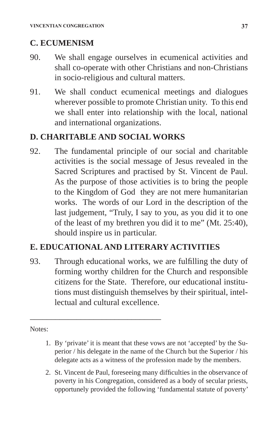# **C. ECUMENISM**

- 90. We shall engage ourselves in ecumenical activities and shall co-operate with other Christians and non-Christians in socio-religious and cultural matters.
- 91. We shall conduct ecumenical meetings and dialogues wherever possible to promote Christian unity. To this end we shall enter into relationship with the local, national and international organizations.

# **D. CHARITABLE AND SOCIAL WORKS**

92. The fundamental principle of our social and charitable activities is the social message of Jesus revealed in the Sacred Scriptures and practised by St. Vincent de Paul. As the purpose of those activities is to bring the people to the Kingdom of God they are not mere humanitarian works. The words of our Lord in the description of the last judgement, "Truly, I say to you, as you did it to one of the least of my brethren you did it to me" (Mt. 25:40), should inspire us in particular.

# **E. EDUCATIONAL AND LITERARY ACTIVITIES**

\_\_\_\_\_\_\_\_\_\_\_\_\_\_\_\_\_\_\_\_\_\_\_\_\_\_\_\_\_\_\_

93. Through educational works, we are fulfilling the duty of forming worthy children for the Church and responsible citizens for the State. Therefore, our educational institutions must distinguish themselves by their spiritual, intellectual and cultural excellence.

Notes:

- 1. By 'private' it is meant that these vows are not 'accepted' by the Superior / his delegate in the name of the Church but the Superior / his delegate acts as a witness of the profession made by the members.
- 2. St. Vincent de Paul, foreseeing many difficulties in the observance of poverty in his Congregation, considered as a body of secular priests, opportunely provided the following 'fundamental statute of poverty'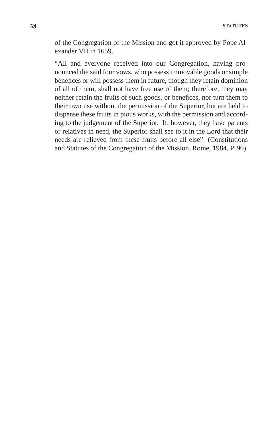of the Congregation of the Mission and got it approved by Pope Alexander VII in 1659.

 "All and everyone received into our Congregation, having pronounced the said four vows, who possess immovable goods or simple benefices or will possess them in future, though they retain dominion of all of them, shall not have free use of them; therefore, they may neither retain the fruits of such goods, or benefices, nor turn them to their own use without the permission of the Superior, but are held to dispense these fruits in pious works, with the permission and according to the judgement of the Superior. If, however, they have parents or relatives in need, the Superior shall see to it in the Lord that their needs are relieved from these fruits before all else" (Constitutions and Statutes of the Congregation of the Mission, Rome, 1984, P. 96).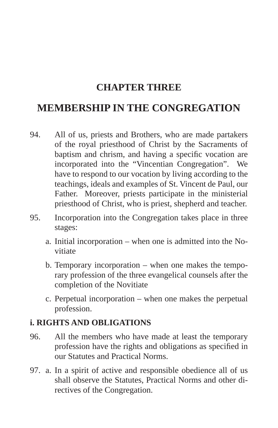# **CHAPTER THREE**

# **MEMBERSHIP IN THE CONGREGATION**

- 94. All of us, priests and Brothers, who are made partakers of the royal priesthood of Christ by the Sacraments of baptism and chrism, and having a specific vocation are incorporated into the "Vincentian Congregation". We have to respond to our vocation by living according to the teachings, ideals and examples of St. Vincent de Paul, our Father. Moreover, priests participate in the ministerial priesthood of Christ, who is priest, shepherd and teacher.
- 95. Incorporation into the Congregation takes place in three stages:
	- a. Initial incorporation when one is admitted into the Novitiate
	- b. Temporary incorporation when one makes the temporary profession of the three evangelical counsels after the completion of the Novitiate
	- c. Perpetual incorporation when one makes the perpetual profession.

# **i. RIGHTS AND OBLIGATIONS**

- 96. All the members who have made at least the temporary profession have the rights and obligations as specified in our Statutes and Practical Norms.
- 97. a. In a spirit of active and responsible obedience all of us shall observe the Statutes, Practical Norms and other directives of the Congregation.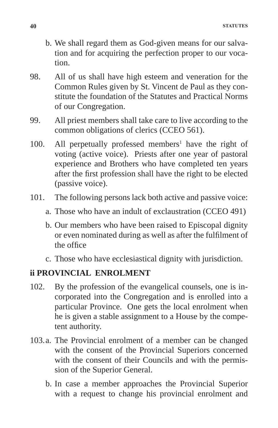- b. We shall regard them as God-given means for our salvation and for acquiring the perfection proper to our vocation.
- 98. All of us shall have high esteem and veneration for the Common Rules given by St. Vincent de Paul as they constitute the foundation of the Statutes and Practical Norms of our Congregation.
- 99. All priest members shall take care to live according to the common obligations of clerics (CCEO 561).
- $100.$  All perpetually professed members<sup>1</sup> have the right of voting (active voice). Priests after one year of pastoral experience and Brothers who have completed ten years after the first profession shall have the right to be elected (passive voice).
- 101. The following persons lack both active and passive voice:
	- a. Those who have an indult of exclaustration (CCEO 491)
	- b. Our members who have been raised to Episcopal dignity or even nominated during as well as after the fulfilment of the office
	- c. Those who have ecclesiastical dignity with jurisdiction.

### **ii PROVINCIAL ENROLMENT**

- 102. By the profession of the evangelical counsels, one is incorporated into the Congregation and is enrolled into a particular Province. One gets the local enrolment when he is given a stable assignment to a House by the competent authority.
- 103.a. The Provincial enrolment of a member can be changed with the consent of the Provincial Superiors concerned with the consent of their Councils and with the permission of the Superior General.
	- b. In case a member approaches the Provincial Superior with a request to change his provincial enrolment and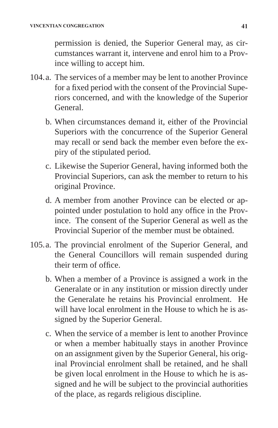permission is denied, the Superior General may, as circumstances warrant it, intervene and enrol him to a Province willing to accept him.

- 104.a. The services of a member may be lent to another Province for a fixed period with the consent of the Provincial Superiors concerned, and with the knowledge of the Superior General.
	- b. When circumstances demand it, either of the Provincial Superiors with the concurrence of the Superior General may recall or send back the member even before the expiry of the stipulated period.
	- c. Likewise the Superior General, having informed both the Provincial Superiors, can ask the member to return to his original Province.
	- d. A member from another Province can be elected or appointed under postulation to hold any office in the Province. The consent of the Superior General as well as the Provincial Superior of the member must be obtained.
- 105.a. The provincial enrolment of the Superior General, and the General Councillors will remain suspended during their term of office.
	- b. When a member of a Province is assigned a work in the Generalate or in any institution or mission directly under the Generalate he retains his Provincial enrolment. He will have local enrolment in the House to which he is assigned by the Superior General.
	- c. When the service of a member is lent to another Province or when a member habitually stays in another Province on an assignment given by the Superior General, his original Provincial enrolment shall be retained, and he shall be given local enrolment in the House to which he is assigned and he will be subject to the provincial authorities of the place, as regards religious discipline.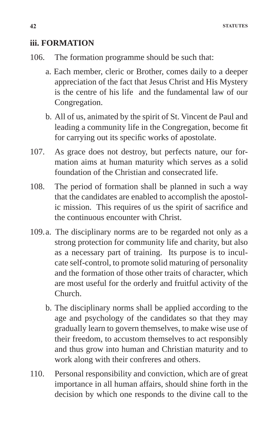#### **iii. FORMATION**

- 106. The formation programme should be such that:
	- a. Each member, cleric or Brother, comes daily to a deeper appreciation of the fact that Jesus Christ and His Mystery is the centre of his life and the fundamental law of our Congregation.
	- b. All of us, animated by the spirit of St. Vincent de Paul and leading a community life in the Congregation, become fit for carrying out its specific works of apostolate.
- 107. As grace does not destroy, but perfects nature, our formation aims at human maturity which serves as a solid foundation of the Christian and consecrated life.
- 108. The period of formation shall be planned in such a way that the candidates are enabled to accomplish the apostolic mission. This requires of us the spirit of sacrifice and the continuous encounter with Christ.
- 109.a. The disciplinary norms are to be regarded not only as a strong protection for community life and charity, but also as a necessary part of training. Its purpose is to inculcate self-control, to promote solid maturing of personality and the formation of those other traits of character, which are most useful for the orderly and fruitful activity of the Church.
	- b. The disciplinary norms shall be applied according to the age and psychology of the candidates so that they may gradually learn to govern themselves, to make wise use of their freedom, to accustom themselves to act responsibly and thus grow into human and Christian maturity and to work along with their confreres and others.
- 110. Personal responsibility and conviction, which are of great importance in all human affairs, should shine forth in the decision by which one responds to the divine call to the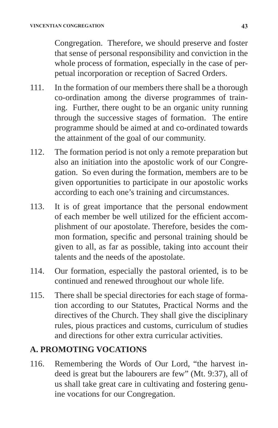Congregation. Therefore, we should preserve and foster that sense of personal responsibility and conviction in the whole process of formation, especially in the case of perpetual incorporation or reception of Sacred Orders.

- 111. In the formation of our members there shall be a thorough co-ordination among the diverse programmes of training. Further, there ought to be an organic unity running through the successive stages of formation. The entire programme should be aimed at and co-ordinated towards the attainment of the goal of our community.
- 112. The formation period is not only a remote preparation but also an initiation into the apostolic work of our Congregation. So even during the formation, members are to be given opportunities to participate in our apostolic works according to each one's training and circumstances.
- 113. It is of great importance that the personal endowment of each member be well utilized for the efficient accomplishment of our apostolate. Therefore, besides the common formation, specific and personal training should be given to all, as far as possible, taking into account their talents and the needs of the apostolate.
- 114. Our formation, especially the pastoral oriented, is to be continued and renewed throughout our whole life.
- 115. There shall be special directories for each stage of formation according to our Statutes, Practical Norms and the directives of the Church. They shall give the disciplinary rules, pious practices and customs, curriculum of studies and directions for other extra curricular activities.

# **A. PROMOTING VOCATIONS**

116. Remembering the Words of Our Lord, "the harvest indeed is great but the labourers are few" (Mt. 9:37), all of us shall take great care in cultivating and fostering genuine vocations for our Congregation.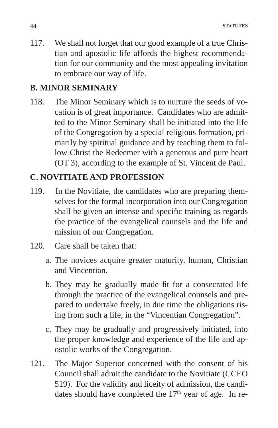117. We shall not forget that our good example of a true Christian and apostolic life affords the highest recommendation for our community and the most appealing invitation to embrace our way of life.

# **B. MINOR SEMINARY**

118. The Minor Seminary which is to nurture the seeds of vocation is of great importance. Candidates who are admitted to the Minor Seminary shall be initiated into the life of the Congregation by a special religious formation, primarily by spiritual guidance and by teaching them to follow Christ the Redeemer with a generous and pure heart (OT 3), according to the example of St. Vincent de Paul.

# **C. NOVITIATE AND PROFESSION**

- 119. In the Novitiate, the candidates who are preparing themselves for the formal incorporation into our Congregation shall be given an intense and specific training as regards the practice of the evangelical counsels and the life and mission of our Congregation.
- 120. Care shall be taken that:
	- a. The novices acquire greater maturity, human, Christian and Vincentian.
	- b. They may be gradually made fit for a consecrated life through the practice of the evangelical counsels and prepared to undertake freely, in due time the obligations rising from such a life, in the "Vincentian Congregation".
	- c. They may be gradually and progressively initiated, into the proper knowledge and experience of the life and apostolic works of the Congregation.
- 121. The Major Superior concerned with the consent of his Council shall admit the candidate to the Novitiate (CCEO 519). For the validity and liceity of admission, the candidates should have completed the  $17<sup>th</sup>$  year of age. In re-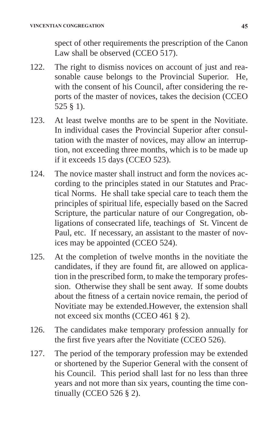spect of other requirements the prescription of the Canon Law shall be observed (CCEO 517).

- 122. The right to dismiss novices on account of just and reasonable cause belongs to the Provincial Superior. He, with the consent of his Council, after considering the reports of the master of novices, takes the decision (CCEO 525 § 1).
- 123. At least twelve months are to be spent in the Novitiate. In individual cases the Provincial Superior after consultation with the master of novices, may allow an interruption, not exceeding three months, which is to be made up if it exceeds 15 days (CCEO 523).
- 124. The novice master shall instruct and form the novices according to the principles stated in our Statutes and Practical Norms. He shall take special care to teach them the principles of spiritual life, especially based on the Sacred Scripture, the particular nature of our Congregation, obligations of consecrated life, teachings of St. Vincent de Paul, etc. If necessary, an assistant to the master of novices may be appointed (CCEO 524).
- 125. At the completion of twelve months in the novitiate the candidates, if they are found fit, are allowed on application in the prescribed form, to make the temporary profession. Otherwise they shall be sent away. If some doubts about the fitness of a certain novice remain, the period of Novitiate may be extended.However, the extension shall not exceed six months (CCEO 461 § 2).
- 126. The candidates make temporary profession annually for the first five years after the Novitiate (CCEO 526).
- 127. The period of the temporary profession may be extended or shortened by the Superior General with the consent of his Council. This period shall last for no less than three years and not more than six years, counting the time continually (CCEO 526 § 2).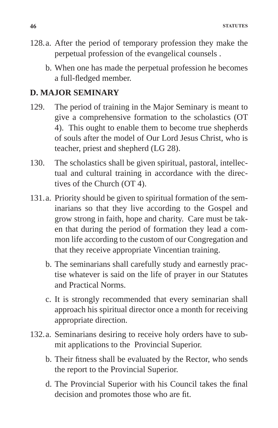- 128.a. After the period of temporary profession they make the perpetual profession of the evangelical counsels .
	- b. When one has made the perpetual profession he becomes a full-fledged member.

#### **D. MAJOR SEMINARY**

- 129. The period of training in the Major Seminary is meant to give a comprehensive formation to the scholastics (OT 4). This ought to enable them to become true shepherds of souls after the model of Our Lord Jesus Christ, who is teacher, priest and shepherd (LG 28).
- 130. The scholastics shall be given spiritual, pastoral, intellectual and cultural training in accordance with the directives of the Church (OT 4).
- 131.a. Priority should be given to spiritual formation of the seminarians so that they live according to the Gospel and grow strong in faith, hope and charity. Care must be taken that during the period of formation they lead a common life according to the custom of our Congregation and that they receive appropriate Vincentian training.
	- b. The seminarians shall carefully study and earnestly practise whatever is said on the life of prayer in our Statutes and Practical Norms.
	- c. It is strongly recommended that every seminarian shall approach his spiritual director once a month for receiving appropriate direction.
- 132.a. Seminarians desiring to receive holy orders have to submit applications to the Provincial Superior.
	- b. Their fitness shall be evaluated by the Rector, who sends the report to the Provincial Superior.
	- d. The Provincial Superior with his Council takes the final decision and promotes those who are fit.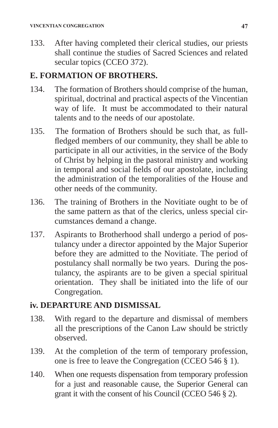133. After having completed their clerical studies, our priests shall continue the studies of Sacred Sciences and related secular topics (CCEO 372).

# **E. FORMATION OF BROTHERS.**

- 134. The formation of Brothers should comprise of the human, spiritual, doctrinal and practical aspects of the Vincentian way of life. It must be accommodated to their natural talents and to the needs of our apostolate.
- 135. The formation of Brothers should be such that, as fullfledged members of our community, they shall be able to participate in all our activities, in the service of the Body of Christ by helping in the pastoral ministry and working in temporal and social fields of our apostolate, including the administration of the temporalities of the House and other needs of the community.
- 136. The training of Brothers in the Novitiate ought to be of the same pattern as that of the clerics, unless special circumstances demand a change.
- 137. Aspirants to Brotherhood shall undergo a period of postulancy under a director appointed by the Major Superior before they are admitted to the Novitiate. The period of postulancy shall normally be two years. During the postulancy, the aspirants are to be given a special spiritual orientation. They shall be initiated into the life of our Congregation.

# **iv. DEPARTURE AND DISMISSAL**

- 138. With regard to the departure and dismissal of members all the prescriptions of the Canon Law should be strictly observed.
- 139. At the completion of the term of temporary profession, one is free to leave the Congregation (CCEO 546 § 1).
- 140. When one requests dispensation from temporary profession for a just and reasonable cause, the Superior General can grant it with the consent of his Council (CCEO 546 § 2).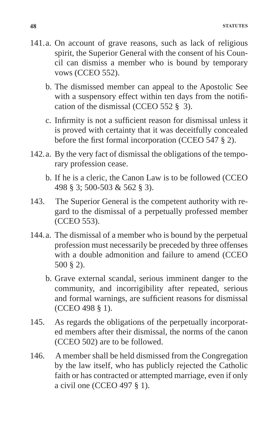- 141.a. On account of grave reasons, such as lack of religious spirit, the Superior General with the consent of his Council can dismiss a member who is bound by temporary vows (CCEO 552).
	- b. The dismissed member can appeal to the Apostolic See with a suspensory effect within ten days from the notification of the dismissal (CCEO 552 § 3).
	- c. Infirmity is not a sufficient reason for dismissal unless it is proved with certainty that it was deceitfully concealed before the first formal incorporation (CCEO 547 § 2).
- 142.a. By the very fact of dismissal the obligations of the temporary profession cease.
	- b. If he is a cleric, the Canon Law is to be followed (CCEO 498 § 3; 500-503 & 562 § 3).
- 143. The Superior General is the competent authority with regard to the dismissal of a perpetually professed member (CCEO 553).
- 144.a. The dismissal of a member who is bound by the perpetual profession must necessarily be preceded by three offenses with a double admonition and failure to amend (CCEO 500 § 2).
	- b. Grave external scandal, serious imminent danger to the community, and incorrigibility after repeated, serious and formal warnings, are sufficient reasons for dismissal (CCEO 498 § 1).
- 145. As regards the obligations of the perpetually incorporated members after their dismissal, the norms of the canon (CCEO 502) are to be followed.
- 146. A member shall be held dismissed from the Congregation by the law itself, who has publicly rejected the Catholic faith or has contracted or attempted marriage, even if only a civil one (CCEO 497 § 1).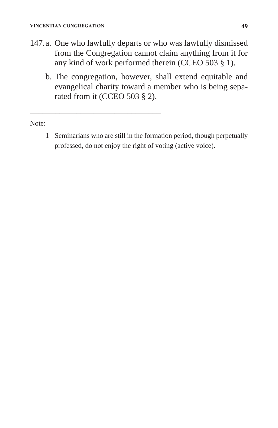\_\_\_\_\_\_\_\_\_\_\_\_\_\_\_\_\_\_\_\_\_\_\_\_\_\_\_\_\_\_\_

- 147.a. One who lawfully departs or who was lawfully dismissed from the Congregation cannot claim anything from it for any kind of work performed therein (CCEO 503 § 1).
	- b. The congregation, however, shall extend equitable and evangelical charity toward a member who is being separated from it (CCEO 503 § 2).

Note:

1 Seminarians who are still in the formation period, though perpetually professed, do not enjoy the right of voting (active voice).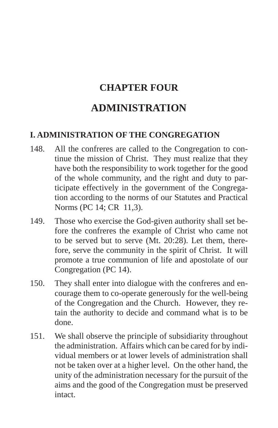# **CHAPTER FOUR**

# **ADMINISTRATION**

# **I. ADMINISTRATION OF THE CONGREGATION**

- 148. All the confreres are called to the Congregation to continue the mission of Christ. They must realize that they have both the responsibility to work together for the good of the whole community, and the right and duty to participate effectively in the government of the Congregation according to the norms of our Statutes and Practical Norms (PC 14; CR 11,3).
- 149. Those who exercise the God-given authority shall set before the confreres the example of Christ who came not to be served but to serve (Mt. 20:28). Let them, therefore, serve the community in the spirit of Christ. It will promote a true communion of life and apostolate of our Congregation (PC 14).
- 150. They shall enter into dialogue with the confreres and encourage them to co-operate generously for the well-being of the Congregation and the Church. However, they retain the authority to decide and command what is to be done.
- 151. We shall observe the principle of subsidiarity throughout the administration. Affairs which can be cared for by individual members or at lower levels of administration shall not be taken over at a higher level. On the other hand, the unity of the administration necessary for the pursuit of the aims and the good of the Congregation must be preserved intact.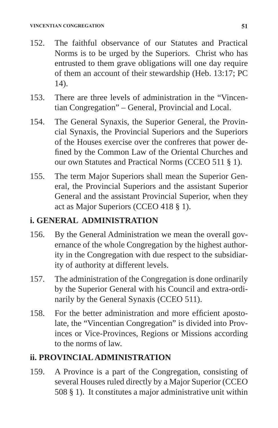- 152. The faithful observance of our Statutes and Practical Norms is to be urged by the Superiors. Christ who has entrusted to them grave obligations will one day require of them an account of their stewardship (Heb. 13:17; PC 14).
- 153. There are three levels of administration in the "Vincentian Congregation" – General, Provincial and Local.
- 154. The General Synaxis, the Superior General, the Provincial Synaxis, the Provincial Superiors and the Superiors of the Houses exercise over the confreres that power defined by the Common Law of the Oriental Churches and our own Statutes and Practical Norms (CCEO 511 § 1).
- 155. The term Major Superiors shall mean the Superior General, the Provincial Superiors and the assistant Superior General and the assistant Provincial Superior, when they act as Major Superiors (CCEO 418 § 1).

# **i. GENERAL ADMINISTRATION**

- 156. By the General Administration we mean the overall governance of the whole Congregation by the highest authority in the Congregation with due respect to the subsidiarity of authority at different levels.
- 157. The administration of the Congregation is done ordinarily by the Superior General with his Council and extra-ordinarily by the General Synaxis (CCEO 511).
- 158. For the better administration and more efficient apostolate, the "Vincentian Congregation" is divided into Provinces or Vice-Provinces, Regions or Missions according to the norms of law.

# **ii. PROVINCIAL ADMINISTRATION**

159. A Province is a part of the Congregation, consisting of several Houses ruled directly by a Major Superior (CCEO 508 § 1). It constitutes a major administrative unit within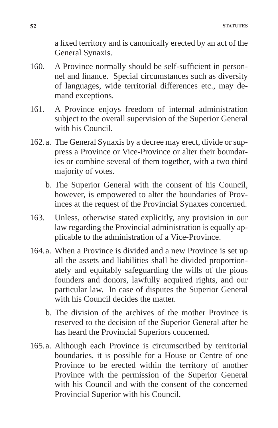a fixed territory and is canonically erected by an act of the General Synaxis.

- 160. A Province normally should be self-sufficient in personnel and finance. Special circumstances such as diversity of languages, wide territorial differences etc., may demand exceptions.
- 161. A Province enjoys freedom of internal administration subject to the overall supervision of the Superior General with his Council.
- 162.a. The General Synaxis by a decree may erect, divide or suppress a Province or Vice-Province or alter their boundaries or combine several of them together, with a two third majority of votes.
	- b. The Superior General with the consent of his Council, however, is empowered to alter the boundaries of Provinces at the request of the Provincial Synaxes concerned.
- 163. Unless, otherwise stated explicitly, any provision in our law regarding the Provincial administration is equally applicable to the administration of a Vice-Province.
- 164.a. When a Province is divided and a new Province is set up all the assets and liabilities shall be divided proportionately and equitably safeguarding the wills of the pious founders and donors, lawfully acquired rights, and our particular law. In case of disputes the Superior General with his Council decides the matter.
	- b. The division of the archives of the mother Province is reserved to the decision of the Superior General after he has heard the Provincial Superiors concerned.
- 165.a. Although each Province is circumscribed by territorial boundaries, it is possible for a House or Centre of one Province to be erected within the territory of another Province with the permission of the Superior General with his Council and with the consent of the concerned Provincial Superior with his Council.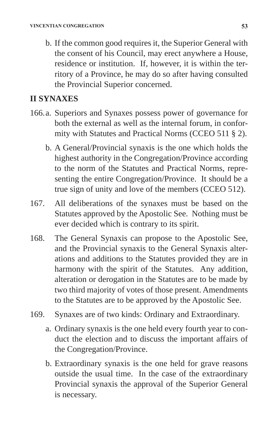b. If the common good requires it, the Superior General with the consent of his Council, may erect anywhere a House, residence or institution. If, however, it is within the territory of a Province, he may do so after having consulted the Provincial Superior concerned.

### **II SYNAXES**

- 166.a. Superiors and Synaxes possess power of governance for both the external as well as the internal forum, in conformity with Statutes and Practical Norms (CCEO 511 § 2).
	- b. A General/Provincial synaxis is the one which holds the highest authority in the Congregation/Province according to the norm of the Statutes and Practical Norms, representing the entire Congregation/Province. It should be a true sign of unity and love of the members (CCEO 512).
- 167. All deliberations of the synaxes must be based on the Statutes approved by the Apostolic See. Nothing must be ever decided which is contrary to its spirit.
- 168. The General Synaxis can propose to the Apostolic See, and the Provincial synaxis to the General Synaxis alterations and additions to the Statutes provided they are in harmony with the spirit of the Statutes. Any addition, alteration or derogation in the Statutes are to be made by two third majority of votes of those present. Amendments to the Statutes are to be approved by the Apostolic See.
- 169. Synaxes are of two kinds: Ordinary and Extraordinary.
	- a. Ordinary synaxis is the one held every fourth year to conduct the election and to discuss the important affairs of the Congregation/Province.
	- b. Extraordinary synaxis is the one held for grave reasons outside the usual time. In the case of the extraordinary Provincial synaxis the approval of the Superior General is necessary.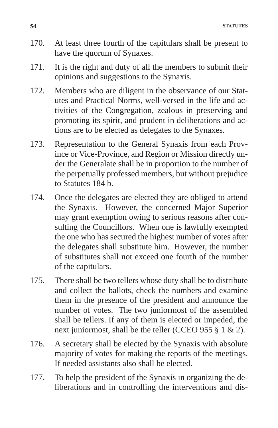- 170. At least three fourth of the capitulars shall be present to have the quorum of Synaxes.
- 171. It is the right and duty of all the members to submit their opinions and suggestions to the Synaxis.
- 172. Members who are diligent in the observance of our Statutes and Practical Norms, well-versed in the life and activities of the Congregation, zealous in preserving and promoting its spirit, and prudent in deliberations and actions are to be elected as delegates to the Synaxes.
- 173. Representation to the General Synaxis from each Province or Vice-Province, and Region or Mission directly under the Generalate shall be in proportion to the number of the perpetually professed members, but without prejudice to Statutes 184 b.
- 174. Once the delegates are elected they are obliged to attend the Synaxis. However, the concerned Major Superior may grant exemption owing to serious reasons after consulting the Councillors. When one is lawfully exempted the one who has secured the highest number of votes after the delegates shall substitute him. However, the number of substitutes shall not exceed one fourth of the number of the capitulars.
- 175. There shall be two tellers whose duty shall be to distribute and collect the ballots, check the numbers and examine them in the presence of the president and announce the number of votes. The two juniormost of the assembled shall be tellers. If any of them is elected or impeded, the next juniormost, shall be the teller (CCEO 955 § 1 & 2).
- 176. A secretary shall be elected by the Synaxis with absolute majority of votes for making the reports of the meetings. If needed assistants also shall be elected.
- 177. To help the president of the Synaxis in organizing the deliberations and in controlling the interventions and dis-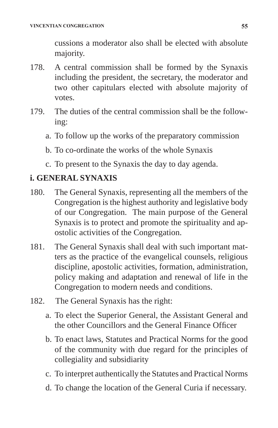cussions a moderator also shall be elected with absolute majority.

- 178. A central commission shall be formed by the Synaxis including the president, the secretary, the moderator and two other capitulars elected with absolute majority of votes.
- 179. The duties of the central commission shall be the following:
	- a. To follow up the works of the preparatory commission
	- b. To co-ordinate the works of the whole Synaxis
	- c. To present to the Synaxis the day to day agenda.

# **i. GENERAL SYNAXIS**

- 180. The General Synaxis, representing all the members of the Congregation is the highest authority and legislative body of our Congregation. The main purpose of the General Synaxis is to protect and promote the spirituality and apostolic activities of the Congregation.
- 181. The General Synaxis shall deal with such important matters as the practice of the evangelical counsels, religious discipline, apostolic activities, formation, administration, policy making and adaptation and renewal of life in the Congregation to modern needs and conditions.
- 182. The General Synaxis has the right:
	- a. To elect the Superior General, the Assistant General and the other Councillors and the General Finance Officer
	- b. To enact laws, Statutes and Practical Norms for the good of the community with due regard for the principles of collegiality and subsidiarity
	- c. To interpret authentically the Statutes and Practical Norms
	- d. To change the location of the General Curia if necessary.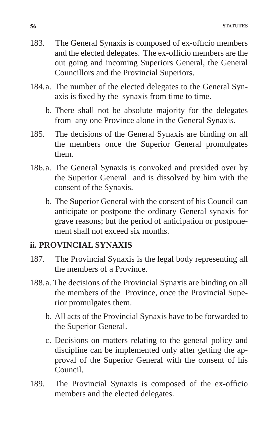- 183. The General Synaxis is composed of ex-officio members and the elected delegates. The ex-officio members are the out going and incoming Superiors General, the General Councillors and the Provincial Superiors.
- 184.a. The number of the elected delegates to the General Synaxis is fixed by the synaxis from time to time.
	- b. There shall not be absolute majority for the delegates from any one Province alone in the General Synaxis.
- 185. The decisions of the General Synaxis are binding on all the members once the Superior General promulgates them.
- 186.a. The General Synaxis is convoked and presided over by the Superior General and is dissolved by him with the consent of the Synaxis.
	- b. The Superior General with the consent of his Council can anticipate or postpone the ordinary General synaxis for grave reasons; but the period of anticipation or postponement shall not exceed six months.

#### **ii. PROVINCIAL SYNAXIS**

- 187. The Provincial Synaxis is the legal body representing all the members of a Province.
- 188.a. The decisions of the Provincial Synaxis are binding on all the members of the Province, once the Provincial Superior promulgates them.
	- b. All acts of the Provincial Synaxis have to be forwarded to the Superior General.
	- c. Decisions on matters relating to the general policy and discipline can be implemented only after getting the approval of the Superior General with the consent of his Council.
- 189. The Provincial Synaxis is composed of the ex-officio members and the elected delegates.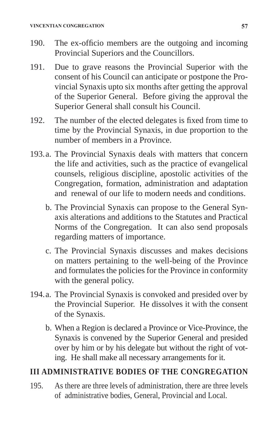- 190. The ex-officio members are the outgoing and incoming Provincial Superiors and the Councillors.
- 191. Due to grave reasons the Provincial Superior with the consent of his Council can anticipate or postpone the Provincial Synaxis upto six months after getting the approval of the Superior General. Before giving the approval the Superior General shall consult his Council.
- 192. The number of the elected delegates is fixed from time to time by the Provincial Synaxis, in due proportion to the number of members in a Province.
- 193.a. The Provincial Synaxis deals with matters that concern the life and activities, such as the practice of evangelical counsels, religious discipline, apostolic activities of the Congregation, formation, administration and adaptation and renewal of our life to modern needs and conditions.
	- b. The Provincial Synaxis can propose to the General Synaxis alterations and additions to the Statutes and Practical Norms of the Congregation. It can also send proposals regarding matters of importance.
	- c. The Provincial Synaxis discusses and makes decisions on matters pertaining to the well-being of the Province and formulates the policies for the Province in conformity with the general policy.
- 194.a. The Provincial Synaxis is convoked and presided over by the Provincial Superior. He dissolves it with the consent of the Synaxis.
	- b. When a Region is declared a Province or Vice-Province, the Synaxis is convened by the Superior General and presided over by him or by his delegate but without the right of voting. He shall make all necessary arrangements for it.

# **III ADMINISTRATIVE BODIES OF THE CONGREGATION**

195. As there are three levels of administration, there are three levels of administrative bodies, General, Provincial and Local.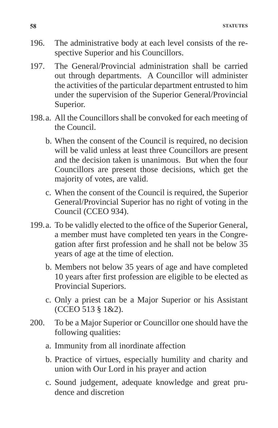- 196. The administrative body at each level consists of the respective Superior and his Councillors.
- 197. The General/Provincial administration shall be carried out through departments. A Councillor will administer the activities of the particular department entrusted to him under the supervision of the Superior General/Provincial Superior.
- 198.a. All the Councillors shall be convoked for each meeting of the Council.
	- b. When the consent of the Council is required, no decision will be valid unless at least three Councillors are present and the decision taken is unanimous. But when the four Councillors are present those decisions, which get the majority of votes, are valid.
	- c. When the consent of the Council is required, the Superior General/Provincial Superior has no right of voting in the Council (CCEO 934).
- 199.a. To be validly elected to the office of the Superior General, a member must have completed ten years in the Congregation after first profession and he shall not be below 35 years of age at the time of election.
	- b. Members not below 35 years of age and have completed 10 years after first profession are eligible to be elected as Provincial Superiors.
	- c. Only a priest can be a Major Superior or his Assistant (CCEO 513 § 1&2).
- 200. To be a Major Superior or Councillor one should have the following qualities:
	- a. Immunity from all inordinate affection
	- b. Practice of virtues, especially humility and charity and union with Our Lord in his prayer and action
	- c. Sound judgement, adequate knowledge and great prudence and discretion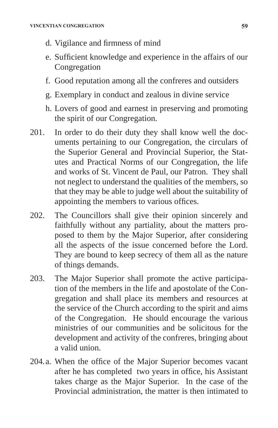- d. Vigilance and firmness of mind
- e. Sufficient knowledge and experience in the affairs of our Congregation
- f. Good reputation among all the confreres and outsiders
- g. Exemplary in conduct and zealous in divine service
- h. Lovers of good and earnest in preserving and promoting the spirit of our Congregation.
- 201. In order to do their duty they shall know well the documents pertaining to our Congregation, the circulars of the Superior General and Provincial Superior, the Statutes and Practical Norms of our Congregation, the life and works of St. Vincent de Paul, our Patron. They shall not neglect to understand the qualities of the members, so that they may be able to judge well about the suitability of appointing the members to various offices.
- 202. The Councillors shall give their opinion sincerely and faithfully without any partiality, about the matters proposed to them by the Major Superior, after considering all the aspects of the issue concerned before the Lord. They are bound to keep secrecy of them all as the nature of things demands.
- 203. The Major Superior shall promote the active participation of the members in the life and apostolate of the Congregation and shall place its members and resources at the service of the Church according to the spirit and aims of the Congregation. He should encourage the various ministries of our communities and be solicitous for the development and activity of the confreres, bringing about a valid union.
- 204.a. When the office of the Major Superior becomes vacant after he has completed two years in office, his Assistant takes charge as the Major Superior. In the case of the Provincial administration, the matter is then intimated to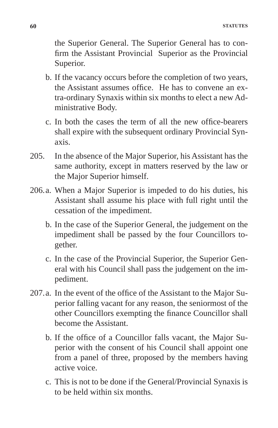the Superior General. The Superior General has to confirm the Assistant Provincial Superior as the Provincial Superior.

- b. If the vacancy occurs before the completion of two years, the Assistant assumes office. He has to convene an extra-ordinary Synaxis within six months to elect a new Administrative Body.
- c. In both the cases the term of all the new office-bearers shall expire with the subsequent ordinary Provincial Synaxis.
- 205. In the absence of the Major Superior, his Assistant has the same authority, except in matters reserved by the law or the Major Superior himself.
- 206.a. When a Major Superior is impeded to do his duties, his Assistant shall assume his place with full right until the cessation of the impediment.
	- b. In the case of the Superior General, the judgement on the impediment shall be passed by the four Councillors together.
	- c. In the case of the Provincial Superior, the Superior General with his Council shall pass the judgement on the impediment.
- 207.a. In the event of the office of the Assistant to the Major Superior falling vacant for any reason, the seniormost of the other Councillors exempting the finance Councillor shall become the Assistant.
	- b. If the office of a Councillor falls vacant, the Major Superior with the consent of his Council shall appoint one from a panel of three, proposed by the members having active voice.
	- c. This is not to be done if the General/Provincial Synaxis is to be held within six months.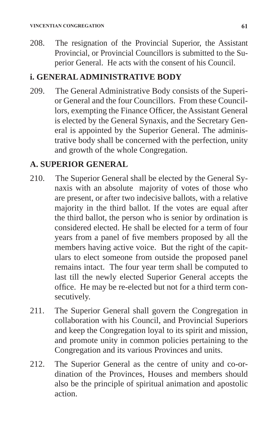208. The resignation of the Provincial Superior, the Assistant Provincial, or Provincial Councillors is submitted to the Superior General. He acts with the consent of his Council.

# **i. GENERAL ADMINISTRATIVE BODY**

209. The General Administrative Body consists of the Superior General and the four Councillors. From these Councillors, exempting the Finance Officer, the Assistant General is elected by the General Synaxis, and the Secretary General is appointed by the Superior General. The administrative body shall be concerned with the perfection, unity and growth of the whole Congregation.

# **A. SUPERIOR GENERAL**

- 210. The Superior General shall be elected by the General Synaxis with an absolute majority of votes of those who are present, or after two indecisive ballots, with a relative majority in the third ballot. If the votes are equal after the third ballot, the person who is senior by ordination is considered elected. He shall be elected for a term of four years from a panel of five members proposed by all the members having active voice. But the right of the capitulars to elect someone from outside the proposed panel remains intact. The four year term shall be computed to last till the newly elected Superior General accepts the office. He may be re-elected but not for a third term consecutively.
- 211. The Superior General shall govern the Congregation in collaboration with his Council, and Provincial Superiors and keep the Congregation loyal to its spirit and mission, and promote unity in common policies pertaining to the Congregation and its various Provinces and units.
- 212. The Superior General as the centre of unity and co-ordination of the Provinces, Houses and members should also be the principle of spiritual animation and apostolic action.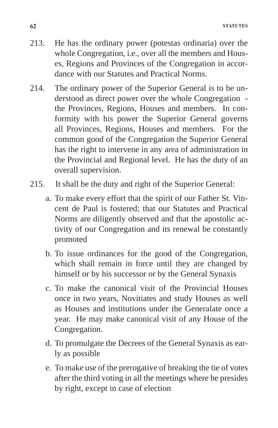- 213. He has the ordinary power (potestas ordinaria) over the whole Congregation, i.e., over all the members and Houses, Regions and Provinces of the Congregation in accordance with our Statutes and Practical Norms.
- 214. The ordinary power of the Superior General is to be understood as direct power over the whole Congregation the Provinces, Regions, Houses and members. In conformity with his power the Superior General governs all Provinces, Regions, Houses and members. For the common good of the Congregation the Superior General has the right to intervene in any area of administration in the Provincial and Regional level. He has the duty of an overall supervision.
- 215. It shall be the duty and right of the Superior General:
	- a. To make every effort that the spirit of our Father St. Vincent de Paul is fostered; that our Statutes and Practical Norms are diligently observed and that the apostolic activity of our Congregation and its renewal be constantly promoted
	- b. To issue ordinances for the good of the Congregation, which shall remain in force until they are changed by himself or by his successor or by the General Synaxis
	- c. To make the canonical visit of the Provincial Houses once in two years, Novitiates and study Houses as well as Houses and institutions under the Generalate once a year. He may make canonical visit of any House of the Congregation.
	- d. To promulgate the Decrees of the General Synaxis as early as possible
	- e. To make use of the prerogative of breaking the tie of votes after the third voting in all the meetings where he presides by right, except in case of election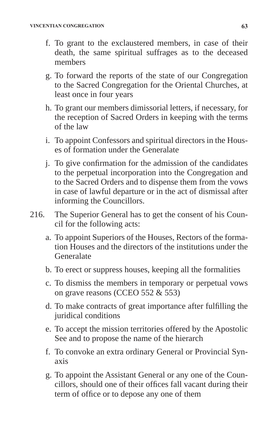- f. To grant to the exclaustered members, in case of their death, the same spiritual suffrages as to the deceased members
- g. To forward the reports of the state of our Congregation to the Sacred Congregation for the Oriental Churches, at least once in four years
- h. To grant our members dimissorial letters, if necessary, for the reception of Sacred Orders in keeping with the terms of the law
- i. To appoint Confessors and spiritual directors in the Houses of formation under the Generalate
- j. To give confirmation for the admission of the candidates to the perpetual incorporation into the Congregation and to the Sacred Orders and to dispense them from the vows in case of lawful departure or in the act of dismissal after informing the Councillors.
- 216. The Superior General has to get the consent of his Council for the following acts:
	- a. To appoint Superiors of the Houses, Rectors of the formation Houses and the directors of the institutions under the Generalate
	- b. To erect or suppress houses, keeping all the formalities
	- c. To dismiss the members in temporary or perpetual vows on grave reasons (CCEO 552 & 553)
	- d. To make contracts of great importance after fulfilling the juridical conditions
	- e. To accept the mission territories offered by the Apostolic See and to propose the name of the hierarch
	- f. To convoke an extra ordinary General or Provincial Synaxis
	- g. To appoint the Assistant General or any one of the Councillors, should one of their offices fall vacant during their term of office or to depose any one of them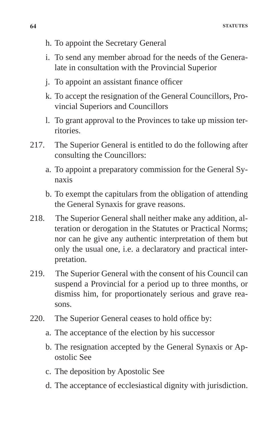- h. To appoint the Secretary General
- i. To send any member abroad for the needs of the Generalate in consultation with the Provincial Superior
- j. To appoint an assistant finance officer
- k. To accept the resignation of the General Councillors, Provincial Superiors and Councillors
- l. To grant approval to the Provinces to take up mission territories.
- 217. The Superior General is entitled to do the following after consulting the Councillors:
	- a. To appoint a preparatory commission for the General Synaxis
	- b. To exempt the capitulars from the obligation of attending the General Synaxis for grave reasons.
- 218. The Superior General shall neither make any addition, alteration or derogation in the Statutes or Practical Norms; nor can he give any authentic interpretation of them but only the usual one, i.e. a declaratory and practical interpretation.
- 219. The Superior General with the consent of his Council can suspend a Provincial for a period up to three months, or dismiss him, for proportionately serious and grave reasons.
- 220. The Superior General ceases to hold office by:
	- a. The acceptance of the election by his successor
	- b. The resignation accepted by the General Synaxis or Apostolic See
	- c. The deposition by Apostolic See
	- d. The acceptance of ecclesiastical dignity with jurisdiction.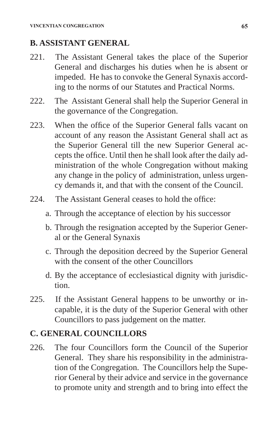# **B. ASSISTANT GENERAL**

- 221. The Assistant General takes the place of the Superior General and discharges his duties when he is absent or impeded. He has to convoke the General Synaxis according to the norms of our Statutes and Practical Norms.
- 222. The Assistant General shall help the Superior General in the governance of the Congregation.
- 223. When the office of the Superior General falls vacant on account of any reason the Assistant General shall act as the Superior General till the new Superior General accepts the office. Until then he shall look after the daily administration of the whole Congregation without making any change in the policy of administration, unless urgency demands it, and that with the consent of the Council.
- 224. The Assistant General ceases to hold the office:
	- a. Through the acceptance of election by his successor
	- b. Through the resignation accepted by the Superior General or the General Synaxis
	- c. Through the deposition decreed by the Superior General with the consent of the other Councillors
	- d. By the acceptance of ecclesiastical dignity with jurisdiction.
- 225. If the Assistant General happens to be unworthy or incapable, it is the duty of the Superior General with other Councillors to pass judgement on the matter.

# **C. GENERAL COUNCILLORS**

226. The four Councillors form the Council of the Superior General. They share his responsibility in the administration of the Congregation. The Councillors help the Superior General by their advice and service in the governance to promote unity and strength and to bring into effect the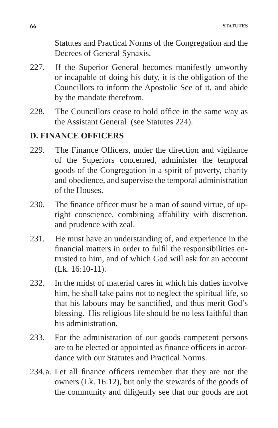Statutes and Practical Norms of the Congregation and the Decrees of General Synaxis.

- 227. If the Superior General becomes manifestly unworthy or incapable of doing his duty, it is the obligation of the Councillors to inform the Apostolic See of it, and abide by the mandate therefrom.
- 228. The Councillors cease to hold office in the same way as the Assistant General (see Statutes 224).

### **D. FINANCE OFFICERS**

- 229. The Finance Officers, under the direction and vigilance of the Superiors concerned, administer the temporal goods of the Congregation in a spirit of poverty, charity and obedience, and supervise the temporal administration of the Houses.
- 230. The finance officer must be a man of sound virtue, of upright conscience, combining affability with discretion, and prudence with zeal.
- 231. He must have an understanding of, and experience in the financial matters in order to fulfil the responsibilities entrusted to him, and of which God will ask for an account (Lk. 16:10-11).
- 232. In the midst of material cares in which his duties involve him, he shall take pains not to neglect the spiritual life, so that his labours may be sanctified, and thus merit God's blessing. His religious life should be no less faithful than his administration.
- 233. For the administration of our goods competent persons are to be elected or appointed as finance officers in accordance with our Statutes and Practical Norms.
- 234.a. Let all finance officers remember that they are not the owners (Lk. 16:12), but only the stewards of the goods of the community and diligently see that our goods are not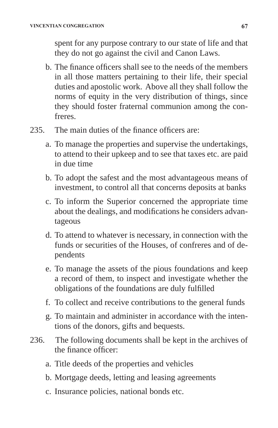spent for any purpose contrary to our state of life and that they do not go against the civil and Canon Laws.

- b. The finance officers shall see to the needs of the members in all those matters pertaining to their life, their special duties and apostolic work. Above all they shall follow the norms of equity in the very distribution of things, since they should foster fraternal communion among the confreres.
- 235. The main duties of the finance officers are:
	- a. To manage the properties and supervise the undertakings, to attend to their upkeep and to see that taxes etc. are paid in due time
	- b. To adopt the safest and the most advantageous means of investment, to control all that concerns deposits at banks
	- c. To inform the Superior concerned the appropriate time about the dealings, and modifications he considers advantageous
	- d. To attend to whatever is necessary, in connection with the funds or securities of the Houses, of confreres and of dependents
	- e. To manage the assets of the pious foundations and keep a record of them, to inspect and investigate whether the obligations of the foundations are duly fulfilled
	- f. To collect and receive contributions to the general funds
	- g. To maintain and administer in accordance with the intentions of the donors, gifts and bequests.
- 236. The following documents shall be kept in the archives of the finance officer:
	- a. Title deeds of the properties and vehicles
	- b. Mortgage deeds, letting and leasing agreements
	- c. Insurance policies, national bonds etc.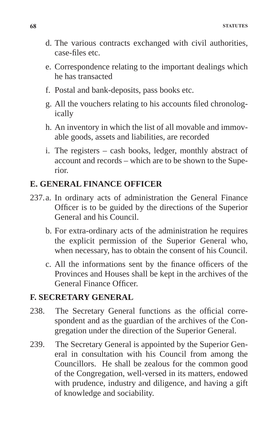- d. The various contracts exchanged with civil authorities, case-files etc.
- e. Correspondence relating to the important dealings which he has transacted
- f. Postal and bank-deposits, pass books etc.
- g. All the vouchers relating to his accounts filed chronologically
- h. An inventory in which the list of all movable and immovable goods, assets and liabilities, are recorded
- i. The registers cash books, ledger, monthly abstract of account and records – which are to be shown to the Superior.

### **E. GENERAL FINANCE OFFICER**

- 237.a. In ordinary acts of administration the General Finance Officer is to be guided by the directions of the Superior General and his Council.
	- b. For extra-ordinary acts of the administration he requires the explicit permission of the Superior General who, when necessary, has to obtain the consent of his Council.
	- c. All the informations sent by the finance officers of the Provinces and Houses shall be kept in the archives of the General Finance Officer.

### **F. SECRETARY GENERAL**

- 238. The Secretary General functions as the official correspondent and as the guardian of the archives of the Congregation under the direction of the Superior General.
- 239. The Secretary General is appointed by the Superior General in consultation with his Council from among the Councillors. He shall be zealous for the common good of the Congregation, well-versed in its matters, endowed with prudence, industry and diligence, and having a gift of knowledge and sociability.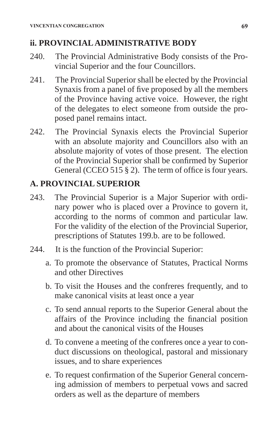### **ii. PROVINCIAL ADMINISTRATIVE BODY**

- 240. The Provincial Administrative Body consists of the Provincial Superior and the four Councillors.
- 241. The Provincial Superior shall be elected by the Provincial Synaxis from a panel of five proposed by all the members of the Province having active voice. However, the right of the delegates to elect someone from outside the proposed panel remains intact.
- 242. The Provincial Synaxis elects the Provincial Superior with an absolute majority and Councillors also with an absolute majority of votes of those present. The election of the Provincial Superior shall be confirmed by Superior General (CCEO 515 § 2). The term of office is four years.

# **A. PROVINCIAL SUPERIOR**

- 243. The Provincial Superior is a Major Superior with ordinary power who is placed over a Province to govern it, according to the norms of common and particular law. For the validity of the election of the Provincial Superior, prescriptions of Statutes 199.b. are to be followed.
- 244. It is the function of the Provincial Superior:
	- a. To promote the observance of Statutes, Practical Norms and other Directives
	- b. To visit the Houses and the confreres frequently, and to make canonical visits at least once a year
	- c. To send annual reports to the Superior General about the affairs of the Province including the financial position and about the canonical visits of the Houses
	- d. To convene a meeting of the confreres once a year to conduct discussions on theological, pastoral and missionary issues, and to share experiences
	- e. To request confirmation of the Superior General concerning admission of members to perpetual vows and sacred orders as well as the departure of members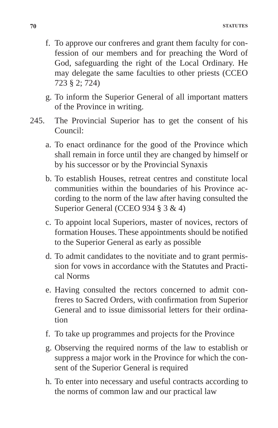- f. To approve our confreres and grant them faculty for confession of our members and for preaching the Word of God, safeguarding the right of the Local Ordinary. He may delegate the same faculties to other priests (CCEO 723 § 2; 724)
- g. To inform the Superior General of all important matters of the Province in writing.
- 245. The Provincial Superior has to get the consent of his Council:
	- a. To enact ordinance for the good of the Province which shall remain in force until they are changed by himself or by his successor or by the Provincial Synaxis
	- b. To establish Houses, retreat centres and constitute local communities within the boundaries of his Province according to the norm of the law after having consulted the Superior General (CCEO 934 § 3 & 4)
	- c. To appoint local Superiors, master of novices, rectors of formation Houses. These appointments should be notified to the Superior General as early as possible
	- d. To admit candidates to the novitiate and to grant permission for vows in accordance with the Statutes and Practical Norms
	- e. Having consulted the rectors concerned to admit confreres to Sacred Orders, with confirmation from Superior General and to issue dimissorial letters for their ordination
	- f. To take up programmes and projects for the Province
	- g. Observing the required norms of the law to establish or suppress a major work in the Province for which the consent of the Superior General is required
	- h. To enter into necessary and useful contracts according to the norms of common law and our practical law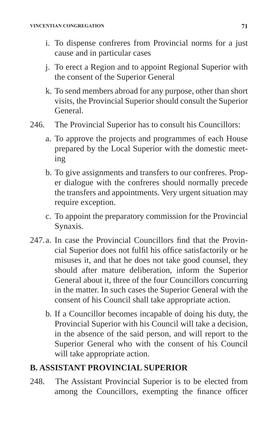- i. To dispense confreres from Provincial norms for a just cause and in particular cases
- j. To erect a Region and to appoint Regional Superior with the consent of the Superior General
- k. To send members abroad for any purpose, other than short visits, the Provincial Superior should consult the Superior General.
- 246. The Provincial Superior has to consult his Councillors:
	- a. To approve the projects and programmes of each House prepared by the Local Superior with the domestic meeting
	- b. To give assignments and transfers to our confreres. Proper dialogue with the confreres should normally precede the transfers and appointments. Very urgent situation may require exception.
	- c. To appoint the preparatory commission for the Provincial Synaxis.
- 247.a. In case the Provincial Councillors find that the Provincial Superior does not fulfil his office satisfactorily or he misuses it, and that he does not take good counsel, they should after mature deliberation, inform the Superior General about it, three of the four Councillors concurring in the matter. In such cases the Superior General with the consent of his Council shall take appropriate action.
	- b. If a Councillor becomes incapable of doing his duty, the Provincial Superior with his Council will take a decision, in the absence of the said person, and will report to the Superior General who with the consent of his Council will take appropriate action.

# **B. ASSISTANT PROVINCIAL SUPERIOR**

248. The Assistant Provincial Superior is to be elected from among the Councillors, exempting the finance officer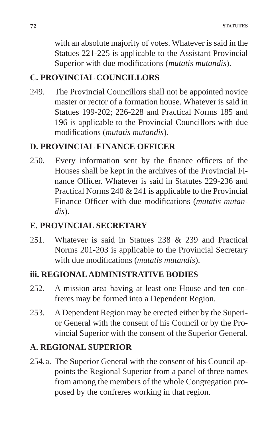with an absolute majority of votes. Whatever is said in the Statues 221-225 is applicable to the Assistant Provincial Superior with due modifications (*mutatis mutandis*).

### **C. PROVINCIAL COUNCILLORS**

249. The Provincial Councillors shall not be appointed novice master or rector of a formation house. Whatever is said in Statues 199-202; 226-228 and Practical Norms 185 and 196 is applicable to the Provincial Councillors with due modifications (*mutatis mutandis*).

#### **D. PROVINCIAL FINANCE OFFICER**

250. Every information sent by the finance officers of the Houses shall be kept in the archives of the Provincial Finance Officer. Whatever is said in Statutes 229-236 and Practical Norms 240 & 241 is applicable to the Provincial Finance Officer with due modifications (*mutatis mutandis*).

#### **E. PROVINCIAL SECRETARY**

251. Whatever is said in Statues 238 & 239 and Practical Norms 201-203 is applicable to the Provincial Secretary with due modifications (*mutatis mutandis*).

### **iii. REGIONAL ADMINISTRATIVE BODIES**

- 252. A mission area having at least one House and ten confreres may be formed into a Dependent Region.
- 253. A Dependent Region may be erected either by the Superior General with the consent of his Council or by the Provincial Superior with the consent of the Superior General.

# **A. REGIONAL SUPERIOR**

254.a. The Superior General with the consent of his Council appoints the Regional Superior from a panel of three names from among the members of the whole Congregation proposed by the confreres working in that region.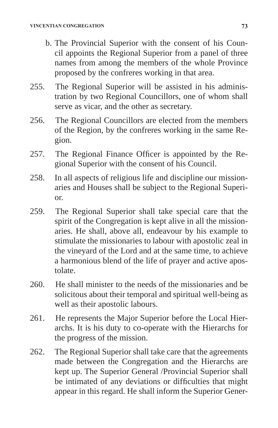- b. The Provincial Superior with the consent of his Council appoints the Regional Superior from a panel of three names from among the members of the whole Province proposed by the confreres working in that area.
- 255. The Regional Superior will be assisted in his administration by two Regional Councillors, one of whom shall serve as vicar, and the other as secretary.
- 256. The Regional Councillors are elected from the members of the Region, by the confreres working in the same Region.
- 257. The Regional Finance Officer is appointed by the Regional Superior with the consent of his Council.
- 258. In all aspects of religious life and discipline our missionaries and Houses shall be subject to the Regional Superior.
- 259. The Regional Superior shall take special care that the spirit of the Congregation is kept alive in all the missionaries. He shall, above all, endeavour by his example to stimulate the missionaries to labour with apostolic zeal in the vineyard of the Lord and at the same time, to achieve a harmonious blend of the life of prayer and active apostolate.
- 260. He shall minister to the needs of the missionaries and be solicitous about their temporal and spiritual well-being as well as their apostolic labours.
- 261. He represents the Major Superior before the Local Hierarchs. It is his duty to co-operate with the Hierarchs for the progress of the mission.
- 262. The Regional Superior shall take care that the agreements made between the Congregation and the Hierarchs are kept up. The Superior General /Provincial Superior shall be intimated of any deviations or difficulties that might appear in this regard. He shall inform the Superior Gener-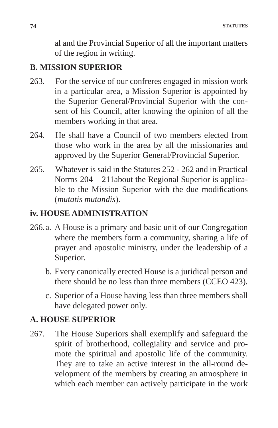al and the Provincial Superior of all the important matters of the region in writing.

#### **B. MISSION SUPERIOR**

- 263. For the service of our confreres engaged in mission work in a particular area, a Mission Superior is appointed by the Superior General/Provincial Superior with the consent of his Council, after knowing the opinion of all the members working in that area.
- 264. He shall have a Council of two members elected from those who work in the area by all the missionaries and approved by the Superior General/Provincial Superior.
- 265. Whatever is said in the Statutes 252 262 and in Practical Norms 204 – 211about the Regional Superior is applicable to the Mission Superior with the due modifications (*mutatis mutandis*).

#### **iv. HOUSE ADMINISTRATION**

- 266.a. A House is a primary and basic unit of our Congregation where the members form a community, sharing a life of prayer and apostolic ministry, under the leadership of a Superior.
	- b. Every canonically erected House is a juridical person and there should be no less than three members (CCEO 423).
	- c. Superior of a House having less than three members shall have delegated power only.

#### **A. HOUSE SUPERIOR**

267. The House Superiors shall exemplify and safeguard the spirit of brotherhood, collegiality and service and promote the spiritual and apostolic life of the community. They are to take an active interest in the all-round development of the members by creating an atmosphere in which each member can actively participate in the work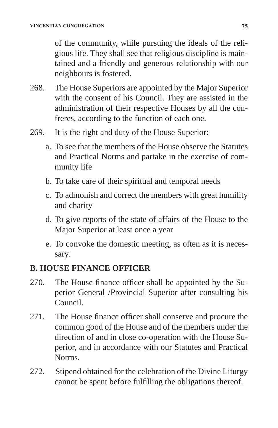of the community, while pursuing the ideals of the religious life. They shall see that religious discipline is maintained and a friendly and generous relationship with our neighbours is fostered.

- 268. The House Superiors are appointed by the Major Superior with the consent of his Council. They are assisted in the administration of their respective Houses by all the confreres, according to the function of each one.
- 269. It is the right and duty of the House Superior:
	- a. To see that the members of the House observe the Statutes and Practical Norms and partake in the exercise of community life
	- b. To take care of their spiritual and temporal needs
	- c. To admonish and correct the members with great humility and charity
	- d. To give reports of the state of affairs of the House to the Major Superior at least once a year
	- e. To convoke the domestic meeting, as often as it is necessary.

## **B. HOUSE FINANCE OFFICER**

- 270. The House finance officer shall be appointed by the Superior General /Provincial Superior after consulting his Council.
- 271. The House finance officer shall conserve and procure the common good of the House and of the members under the direction of and in close co-operation with the House Superior, and in accordance with our Statutes and Practical Norms.
- 272. Stipend obtained for the celebration of the Divine Liturgy cannot be spent before fulfilling the obligations thereof.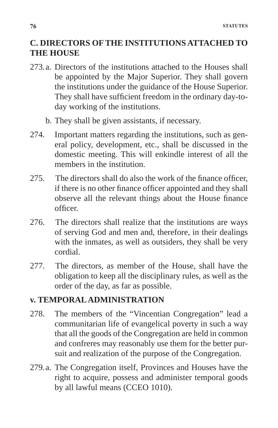## **C. DIRECTORS OF THE INSTITUTIONS ATTACHED TO THE HOUSE**

- 273.a. Directors of the institutions attached to the Houses shall be appointed by the Major Superior. They shall govern the institutions under the guidance of the House Superior. They shall have sufficient freedom in the ordinary day-today working of the institutions.
	- b. They shall be given assistants, if necessary.
- 274. Important matters regarding the institutions, such as general policy, development, etc., shall be discussed in the domestic meeting. This will enkindle interest of all the members in the institution.
- 275. The directors shall do also the work of the finance officer, if there is no other finance officer appointed and they shall observe all the relevant things about the House finance officer.
- 276. The directors shall realize that the institutions are ways of serving God and men and, therefore, in their dealings with the inmates, as well as outsiders, they shall be very cordial.
- 277. The directors, as member of the House, shall have the obligation to keep all the disciplinary rules, as well as the order of the day, as far as possible.

## **v. TEMPORAL ADMINISTRATION**

- 278. The members of the "Vincentian Congregation" lead a communitarian life of evangelical poverty in such a way that all the goods of the Congregation are held in common and confreres may reasonably use them for the better pursuit and realization of the purpose of the Congregation.
- 279.a. The Congregation itself, Provinces and Houses have the right to acquire, possess and administer temporal goods by all lawful means (CCEO 1010).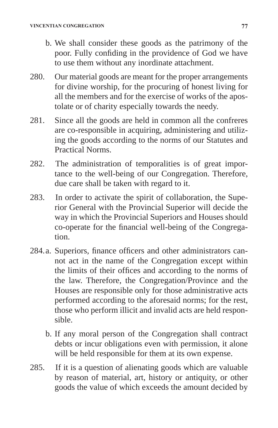- b. We shall consider these goods as the patrimony of the poor. Fully confiding in the providence of God we have to use them without any inordinate attachment.
- 280. Our material goods are meant for the proper arrangements for divine worship, for the procuring of honest living for all the members and for the exercise of works of the apostolate or of charity especially towards the needy.
- 281. Since all the goods are held in common all the confreres are co-responsible in acquiring, administering and utilizing the goods according to the norms of our Statutes and Practical Norms.
- 282. The administration of temporalities is of great importance to the well-being of our Congregation. Therefore, due care shall be taken with regard to it.
- 283. In order to activate the spirit of collaboration, the Superior General with the Provincial Superior will decide the way in which the Provincial Superiors and Houses should co-operate for the financial well-being of the Congregation.
- 284.a. Superiors, finance officers and other administrators cannot act in the name of the Congregation except within the limits of their offices and according to the norms of the law. Therefore, the Congregation/Province and the Houses are responsible only for those administrative acts performed according to the aforesaid norms; for the rest, those who perform illicit and invalid acts are held responsible.
	- b. If any moral person of the Congregation shall contract debts or incur obligations even with permission, it alone will be held responsible for them at its own expense.
- 285. If it is a question of alienating goods which are valuable by reason of material, art, history or antiquity, or other goods the value of which exceeds the amount decided by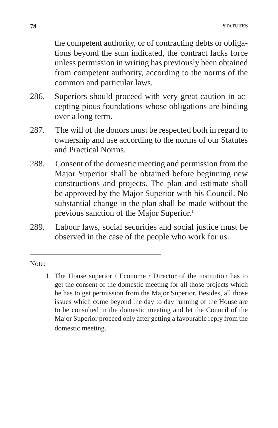the competent authority, or of contracting debts or obligations beyond the sum indicated, the contract lacks force unless permission in writing has previously been obtained from competent authority, according to the norms of the common and particular laws.

- 286. Superiors should proceed with very great caution in accepting pious foundations whose obligations are binding over a long term.
- 287. The will of the donors must be respected both in regard to ownership and use according to the norms of our Statutes and Practical Norms.
- 288. Consent of the domestic meeting and permission from the Major Superior shall be obtained before beginning new constructions and projects. The plan and estimate shall be approved by the Major Superior with his Council. No substantial change in the plan shall be made without the previous sanction of the Major Superior.1
- 289. Labour laws, social securities and social justice must be observed in the case of the people who work for us.

\_\_\_\_\_\_\_\_\_\_\_\_\_\_\_\_\_\_\_\_\_\_\_\_\_\_\_\_\_\_\_

Note:

1. The House superior / Econome / Director of the institution has to get the consent of the domestic meeting for all those projects which he has to get permission from the Major Superior. Besides, all those issues which come beyond the day to day running of the House are to be consulted in the domestic meeting and let the Council of the Major Superior proceed only after getting a favourable reply from the domestic meeting.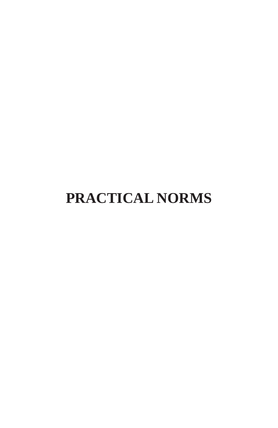# **PRACTICAL NORMS**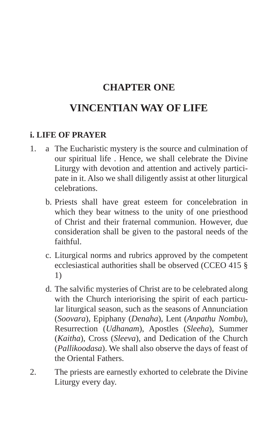# **CHAPTER ONE**

# **VINCENTIAN WAY OF LIFE**

#### **i. LIFE OF PRAYER**

- 1. a The Eucharistic mystery is the source and culmination of our spiritual life . Hence, we shall celebrate the Divine Liturgy with devotion and attention and actively participate in it. Also we shall diligently assist at other liturgical celebrations.
	- b. Priests shall have great esteem for concelebration in which they bear witness to the unity of one priesthood of Christ and their fraternal communion. However, due consideration shall be given to the pastoral needs of the faithful.
	- c. Liturgical norms and rubrics approved by the competent ecclesiastical authorities shall be observed (CCEO 415 § 1)
	- d. The salvific mysteries of Christ are to be celebrated along with the Church interiorising the spirit of each particular liturgical season, such as the seasons of Annunciation (*Soovara*), Epiphany (*Denaha*), Lent (*Anpathu Nombu*), Resurrection (*Udhanam*), Apostles (*Sleeha*), Summer (*Kaitha*), Cross (*Sleeva*), and Dedication of the Church (*Pallikoodasa*). We shall also observe the days of feast of the Oriental Fathers.
- 2. The priests are earnestly exhorted to celebrate the Divine Liturgy every day.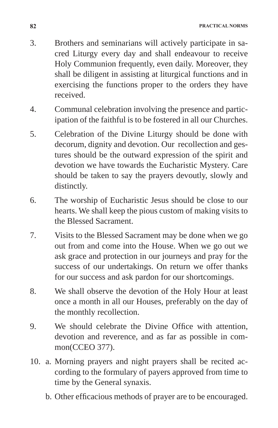- 3. Brothers and seminarians will actively participate in sacred Liturgy every day and shall endeavour to receive Holy Communion frequently, even daily. Moreover, they shall be diligent in assisting at liturgical functions and in exercising the functions proper to the orders they have received.
- 4. Communal celebration involving the presence and participation of the faithful is to be fostered in all our Churches.
- 5. Celebration of the Divine Liturgy should be done with decorum, dignity and devotion. Our recollection and gestures should be the outward expression of the spirit and devotion we have towards the Eucharistic Mystery. Care should be taken to say the prayers devoutly, slowly and distinctly.
- 6. The worship of Eucharistic Jesus should be close to our hearts. We shall keep the pious custom of making visits to the Blessed Sacrament.
- 7. Visits to the Blessed Sacrament may be done when we go out from and come into the House. When we go out we ask grace and protection in our journeys and pray for the success of our undertakings. On return we offer thanks for our success and ask pardon for our shortcomings.
- 8. We shall observe the devotion of the Holy Hour at least once a month in all our Houses, preferably on the day of the monthly recollection.
- 9. We should celebrate the Divine Office with attention, devotion and reverence, and as far as possible in common(CCEO 377).
- 10. a. Morning prayers and night prayers shall be recited according to the formulary of payers approved from time to time by the General synaxis.
	- b. Other efficacious methods of prayer are to be encouraged.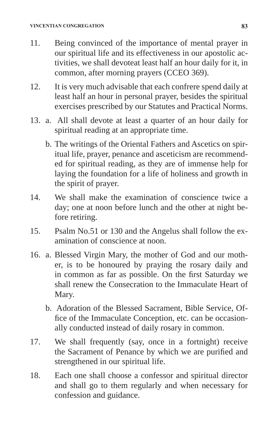- 11. Being convinced of the importance of mental prayer in our spiritual life and its effectiveness in our apostolic activities, we shall devoteat least half an hour daily for it, in common, after morning prayers (CCEO 369).
- 12. It is very much advisable that each confrere spend daily at least half an hour in personal prayer, besides the spiritual exercises prescribed by our Statutes and Practical Norms.
- 13. a. All shall devote at least a quarter of an hour daily for spiritual reading at an appropriate time.
	- b. The writings of the Oriental Fathers and Ascetics on spiritual life, prayer, penance and asceticism are recommended for spiritual reading, as they are of immense help for laying the foundation for a life of holiness and growth in the spirit of prayer.
- 14. We shall make the examination of conscience twice a day; one at noon before lunch and the other at night before retiring.
- 15. Psalm No.51 or 130 and the Angelus shall follow the examination of conscience at noon.
- 16. a. Blessed Virgin Mary, the mother of God and our mother, is to be honoured by praying the rosary daily and in common as far as possible. On the first Saturday we shall renew the Consecration to the Immaculate Heart of Mary.
	- b. Adoration of the Blessed Sacrament, Bible Service, Office of the Immaculate Conception, etc. can be occasionally conducted instead of daily rosary in common.
- 17. We shall frequently (say, once in a fortnight) receive the Sacrament of Penance by which we are purified and strengthened in our spiritual life.
- 18. Each one shall choose a confessor and spiritual director and shall go to them regularly and when necessary for confession and guidance.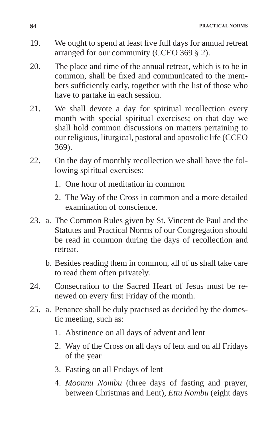**84 PRACTICAL NORMS**

- 19. We ought to spend at least five full days for annual retreat arranged for our community (CCEO 369 § 2).
- 20. The place and time of the annual retreat, which is to be in common, shall be fixed and communicated to the members sufficiently early, together with the list of those who have to partake in each session.
- 21. We shall devote a day for spiritual recollection every month with special spiritual exercises; on that day we shall hold common discussions on matters pertaining to our religious, liturgical, pastoral and apostolic life (CCEO 369).
- 22. On the day of monthly recollection we shall have the following spiritual exercises:
	- 1. One hour of meditation in common
	- 2. The Way of the Cross in common and a more detailed examination of conscience.
- 23. a. The Common Rules given by St. Vincent de Paul and the Statutes and Practical Norms of our Congregation should be read in common during the days of recollection and retreat.
	- b. Besides reading them in common, all of us shall take care to read them often privately.
- 24. Consecration to the Sacred Heart of Jesus must be renewed on every first Friday of the month.
- 25. a. Penance shall be duly practised as decided by the domestic meeting, such as:
	- 1. Abstinence on all days of advent and lent
	- 2. Way of the Cross on all days of lent and on all Fridays of the year
	- 3. Fasting on all Fridays of lent
	- 4. *Moonnu Nombu* (three days of fasting and prayer, between Christmas and Lent), *Ettu Nombu* (eight days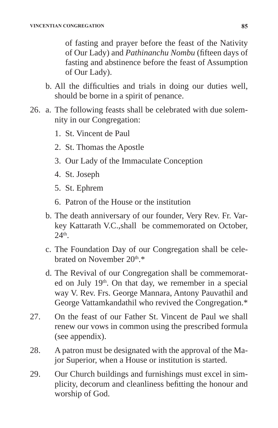of fasting and prayer before the feast of the Nativity of Our Lady) and *Pathinanchu Nombu* (fifteen days of fasting and abstinence before the feast of Assumption of Our Lady).

- b. All the difficulties and trials in doing our duties well, should be borne in a spirit of penance.
- 26. a. The following feasts shall be celebrated with due solemnity in our Congregation:
	- 1. St. Vincent de Paul
	- 2. St. Thomas the Apostle
	- 3. Our Lady of the Immaculate Conception
	- 4. St. Joseph
	- 5. St. Ephrem
	- 6. Patron of the House or the institution
	- b. The death anniversary of our founder, Very Rev. Fr. Varkey Kattarath V.C.,shall be commemorated on October,  $24<sup>th</sup>$
	- c. The Foundation Day of our Congregation shall be celebrated on November 20<sup>th</sup>.\*
	- d. The Revival of our Congregation shall be commemorated on July 19th. On that day, we remember in a special way V. Rev. Frs. George Mannara, Antony Pauvathil and George Vattamkandathil who revived the Congregation.\*
- 27. On the feast of our Father St. Vincent de Paul we shall renew our vows in common using the prescribed formula (see appendix).
- 28. A patron must be designated with the approval of the Major Superior, when a House or institution is started.
- 29. Our Church buildings and furnishings must excel in simplicity, decorum and cleanliness befitting the honour and worship of God.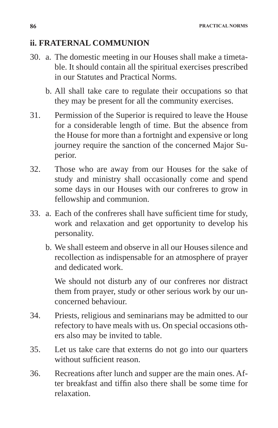## **ii. FRATERNAL COMMUNION**

- 30. a. The domestic meeting in our Houses shall make a timetable. It should contain all the spiritual exercises prescribed in our Statutes and Practical Norms.
	- b. All shall take care to regulate their occupations so that they may be present for all the community exercises.
- 31. Permission of the Superior is required to leave the House for a considerable length of time. But the absence from the House for more than a fortnight and expensive or long journey require the sanction of the concerned Major Superior.
- 32. Those who are away from our Houses for the sake of study and ministry shall occasionally come and spend some days in our Houses with our confreres to grow in fellowship and communion.
- 33. a. Each of the confreres shall have sufficient time for study, work and relaxation and get opportunity to develop his personality.
	- b. We shall esteem and observe in all our Houses silence and recollection as indispensable for an atmosphere of prayer and dedicated work.

 We should not disturb any of our confreres nor distract them from prayer, study or other serious work by our unconcerned behaviour.

- 34. Priests, religious and seminarians may be admitted to our refectory to have meals with us. On special occasions others also may be invited to table.
- 35. Let us take care that externs do not go into our quarters without sufficient reason.
- 36. Recreations after lunch and supper are the main ones. After breakfast and tiffin also there shall be some time for relaxation.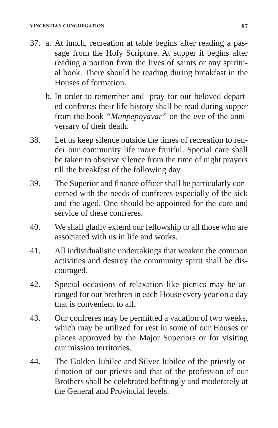- 37. a. At lunch, recreation at table begins after reading a passage from the Holy Scripture. At supper it begins after reading a portion from the lives of saints or any spiritual book. There should be reading during breakfast in the Houses of formation.
	- b. In order to remember and pray for our beloved departed confreres their life history shall be read during supper from the book *"Munpepoyavar"* on the eve of the anniversary of their death.
- 38. Let us keep silence outside the times of recreation to render our community life more fruitful. Special care shall be taken to observe silence from the time of night prayers till the breakfast of the following day.
- 39. The Superior and finance officer shall be particularly concerned with the needs of confreres especially of the sick and the aged. One should be appointed for the care and service of these confreres.
- 40. We shall gladly extend our fellowship to all those who are associated with us in life and works.
- 41. All individualistic undertakings that weaken the common activities and destroy the community spirit shall be discouraged.
- 42. Special occasions of relaxation like picnics may be arranged for our brethren in each House every year on a day that is convenient to all.
- 43. Our confreres may be permitted a vacation of two weeks, which may be utilized for rest in some of our Houses or places approved by the Major Superiors or for visiting our mission territories.
- 44. The Golden Jubilee and Silver Jubilee of the priestly ordination of our priests and that of the profession of our Brothers shall be celebrated befittingly and moderately at the General and Provincial levels.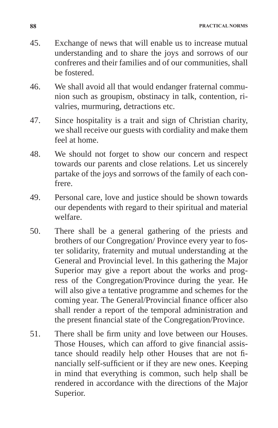- 45. Exchange of news that will enable us to increase mutual understanding and to share the joys and sorrows of our confreres and their families and of our communities, shall be fostered.
- 46. We shall avoid all that would endanger fraternal communion such as groupism, obstinacy in talk, contention, rivalries, murmuring, detractions etc.
- 47. Since hospitality is a trait and sign of Christian charity, we shall receive our guests with cordiality and make them feel at home.
- 48. We should not forget to show our concern and respect towards our parents and close relations. Let us sincerely partake of the joys and sorrows of the family of each confrere.
- 49. Personal care, love and justice should be shown towards our dependents with regard to their spiritual and material welfare.
- 50. There shall be a general gathering of the priests and brothers of our Congregation/ Province every year to foster solidarity, fraternity and mutual understanding at the General and Provincial level. In this gathering the Major Superior may give a report about the works and progress of the Congregation/Province during the year. He will also give a tentative programme and schemes for the coming year. The General/Provincial finance officer also shall render a report of the temporal administration and the present financial state of the Congregation/Province.
- 51. There shall be firm unity and love between our Houses. Those Houses, which can afford to give financial assistance should readily help other Houses that are not financially self-sufficient or if they are new ones. Keeping in mind that everything is common, such help shall be rendered in accordance with the directions of the Major Superior.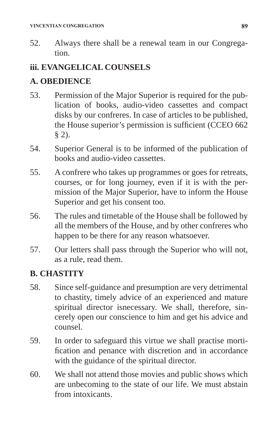52. Always there shall be a renewal team in our Congregation.

## **iii. EVANGELICAL COUNSELS**

## **A. OBEDIENCE**

- 53. Permission of the Major Superior is required for the publication of books, audio-video cassettes and compact disks by our confreres. In case of articles to be published, the House superior's permission is sufficient (CCEO 662 § 2).
- 54. Superior General is to be informed of the publication of books and audio-video cassettes.
- 55. A confrere who takes up programmes or goes for retreats, courses, or for long journey, even if it is with the permission of the Major Superior, have to inform the House Superior and get his consent too.
- 56. The rules and timetable of the House shall be followed by all the members of the House, and by other confreres who happen to be there for any reason whatsoever.
- 57. Our letters shall pass through the Superior who will not, as a rule, read them.

## **B. CHASTITY**

- 58. Since self-guidance and presumption are very detrimental to chastity, timely advice of an experienced and mature spiritual director isnecessary. We shall, therefore, sincerely open our conscience to him and get his advice and counsel.
- 59. In order to safeguard this virtue we shall practise mortification and penance with discretion and in accordance with the guidance of the spiritual director.
- 60. We shall not attend those movies and public shows which are unbecoming to the state of our life. We must abstain from intoxicants.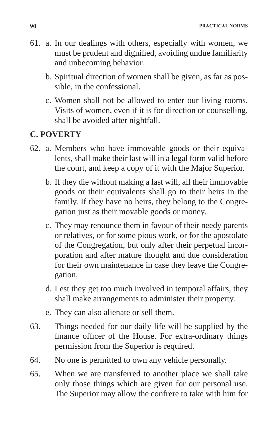**90 PRACTICAL NORMS**

- 61. a. In our dealings with others, especially with women, we must be prudent and dignified, avoiding undue familiarity and unbecoming behavior.
	- b. Spiritual direction of women shall be given, as far as possible, in the confessional.
	- c. Women shall not be allowed to enter our living rooms. Visits of women, even if it is for direction or counselling, shall be avoided after nightfall.

## **C. POVERTY**

- 62. a. Members who have immovable goods or their equivalents, shall make their last will in a legal form valid before the court, and keep a copy of it with the Major Superior.
	- b. If they die without making a last will, all their immovable goods or their equivalents shall go to their heirs in the family. If they have no heirs, they belong to the Congregation just as their movable goods or money.
	- c. They may renounce them in favour of their needy parents or relatives, or for some pious work, or for the apostolate of the Congregation, but only after their perpetual incorporation and after mature thought and due consideration for their own maintenance in case they leave the Congregation.
	- d. Lest they get too much involved in temporal affairs, they shall make arrangements to administer their property.
	- e. They can also alienate or sell them.
- 63. Things needed for our daily life will be supplied by the finance officer of the House. For extra-ordinary things permission from the Superior is required.
- 64. No one is permitted to own any vehicle personally.
- 65. When we are transferred to another place we shall take only those things which are given for our personal use. The Superior may allow the confrere to take with him for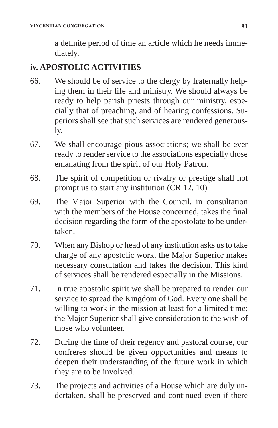a definite period of time an article which he needs immediately.

## **iv. APOSTOLIC ACTIVITIES**

- 66. We should be of service to the clergy by fraternally helping them in their life and ministry. We should always be ready to help parish priests through our ministry, especially that of preaching, and of hearing confessions. Superiors shall see that such services are rendered generously.
- 67. We shall encourage pious associations; we shall be ever ready to render service to the associations especially those emanating from the spirit of our Holy Patron.
- 68. The spirit of competition or rivalry or prestige shall not prompt us to start any institution (CR 12, 10)
- 69. The Major Superior with the Council, in consultation with the members of the House concerned, takes the final decision regarding the form of the apostolate to be undertaken.
- 70. When any Bishop or head of any institution asks us to take charge of any apostolic work, the Major Superior makes necessary consultation and takes the decision. This kind of services shall be rendered especially in the Missions.
- 71. In true apostolic spirit we shall be prepared to render our service to spread the Kingdom of God. Every one shall be willing to work in the mission at least for a limited time; the Major Superior shall give consideration to the wish of those who volunteer.
- 72. During the time of their regency and pastoral course, our confreres should be given opportunities and means to deepen their understanding of the future work in which they are to be involved.
- 73. The projects and activities of a House which are duly undertaken, shall be preserved and continued even if there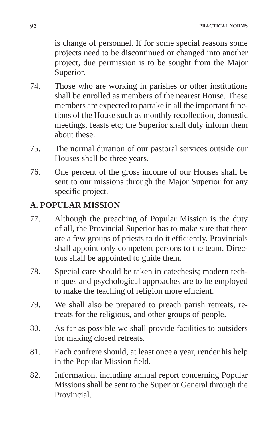is change of personnel. If for some special reasons some projects need to be discontinued or changed into another project, due permission is to be sought from the Major Superior.

- 74. Those who are working in parishes or other institutions shall be enrolled as members of the nearest House. These members are expected to partake in all the important functions of the House such as monthly recollection, domestic meetings, feasts etc; the Superior shall duly inform them about these.
- 75. The normal duration of our pastoral services outside our Houses shall be three years.
- 76. One percent of the gross income of our Houses shall be sent to our missions through the Major Superior for any specific project.

## **A. POPULAR MISSION**

- 77. Although the preaching of Popular Mission is the duty of all, the Provincial Superior has to make sure that there are a few groups of priests to do it efficiently. Provincials shall appoint only competent persons to the team. Directors shall be appointed to guide them.
- 78. Special care should be taken in catechesis; modern techniques and psychological approaches are to be employed to make the teaching of religion more efficient.
- 79. We shall also be prepared to preach parish retreats, retreats for the religious, and other groups of people.
- 80. As far as possible we shall provide facilities to outsiders for making closed retreats.
- 81. Each confrere should, at least once a year, render his help in the Popular Mission field.
- 82. Information, including annual report concerning Popular Missions shall be sent to the Superior General through the Provincial.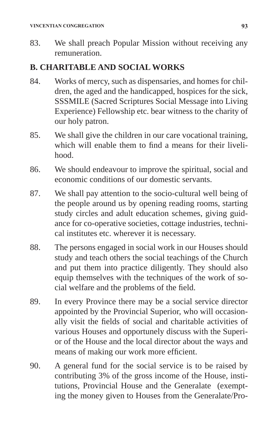83. We shall preach Popular Mission without receiving any remuneration.

## **B. CHARITABLE AND SOCIAL WORKS**

- 84. Works of mercy, such as dispensaries, and homes for children, the aged and the handicapped, hospices for the sick, SSSMILE (Sacred Scriptures Social Message into Living Experience) Fellowship etc. bear witness to the charity of our holy patron.
- 85. We shall give the children in our care vocational training, which will enable them to find a means for their livelihood.
- 86. We should endeavour to improve the spiritual, social and economic conditions of our domestic servants.
- 87. We shall pay attention to the socio-cultural well being of the people around us by opening reading rooms, starting study circles and adult education schemes, giving guidance for co-operative societies, cottage industries, technical institutes etc. wherever it is necessary.
- 88. The persons engaged in social work in our Houses should study and teach others the social teachings of the Church and put them into practice diligently. They should also equip themselves with the techniques of the work of social welfare and the problems of the field.
- 89. In every Province there may be a social service director appointed by the Provincial Superior, who will occasionally visit the fields of social and charitable activities of various Houses and opportunely discuss with the Superior of the House and the local director about the ways and means of making our work more efficient.
- 90. A general fund for the social service is to be raised by contributing 3% of the gross income of the House, institutions, Provincial House and the Generalate (exempting the money given to Houses from the Generalate/Pro-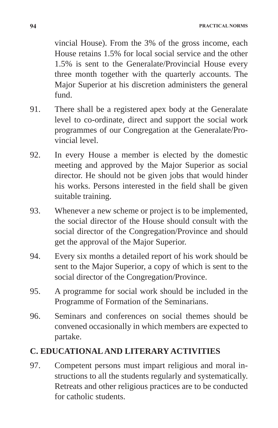vincial House). From the 3% of the gross income, each House retains 1.5% for local social service and the other 1.5% is sent to the Generalate/Provincial House every three month together with the quarterly accounts. The Major Superior at his discretion administers the general fund.

- 91. There shall be a registered apex body at the Generalate level to co-ordinate, direct and support the social work programmes of our Congregation at the Generalate/Provincial level.
- 92. In every House a member is elected by the domestic meeting and approved by the Major Superior as social director. He should not be given jobs that would hinder his works. Persons interested in the field shall be given suitable training.
- 93. Whenever a new scheme or project is to be implemented, the social director of the House should consult with the social director of the Congregation/Province and should get the approval of the Major Superior.
- 94. Every six months a detailed report of his work should be sent to the Major Superior, a copy of which is sent to the social director of the Congregation/Province.
- 95. A programme for social work should be included in the Programme of Formation of the Seminarians.
- 96. Seminars and conferences on social themes should be convened occasionally in which members are expected to partake.

## **C. EDUCATIONAL AND LITERARY ACTIVITIES**

97. Competent persons must impart religious and moral instructions to all the students regularly and systematically. Retreats and other religious practices are to be conducted for catholic students.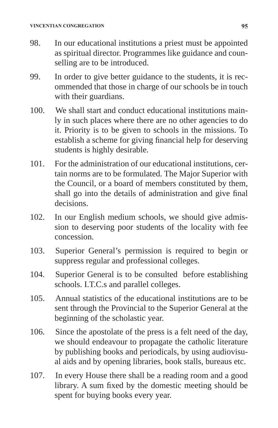- 98. In our educational institutions a priest must be appointed as spiritual director. Programmes like guidance and counselling are to be introduced.
- 99. In order to give better guidance to the students, it is recommended that those in charge of our schools be in touch with their guardians.
- 100. We shall start and conduct educational institutions mainly in such places where there are no other agencies to do it. Priority is to be given to schools in the missions. To establish a scheme for giving financial help for deserving students is highly desirable.
- 101. For the administration of our educational institutions, certain norms are to be formulated. The Major Superior with the Council, or a board of members constituted by them, shall go into the details of administration and give final decisions.
- 102. In our English medium schools, we should give admission to deserving poor students of the locality with fee concession.
- 103. Superior General's permission is required to begin or suppress regular and professional colleges.
- 104. Superior General is to be consulted before establishing schools. I.T.C.s and parallel colleges.
- 105. Annual statistics of the educational institutions are to be sent through the Provincial to the Superior General at the beginning of the scholastic year.
- 106. Since the apostolate of the press is a felt need of the day, we should endeavour to propagate the catholic literature by publishing books and periodicals, by using audiovisual aids and by opening libraries, book stalls, bureaus etc.
- 107. In every House there shall be a reading room and a good library. A sum fixed by the domestic meeting should be spent for buying books every year.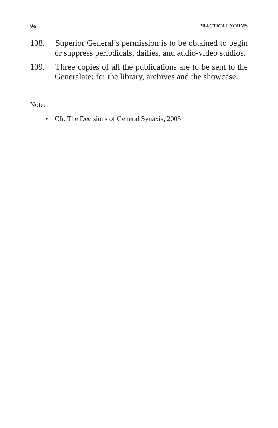- 108. Superior General's permission is to be obtained to begin or suppress periodicals, dailies, and audio-video studios.
- 109. Three copies of all the publications are to be sent to the Generalate: for the library, archives and the showcase.

Note:

\_\_\_\_\_\_\_\_\_\_\_\_\_\_\_\_\_\_\_\_\_\_\_\_\_\_\_\_\_\_\_

<sup>•</sup> Cfr. The Decisions of General Synaxis, 2005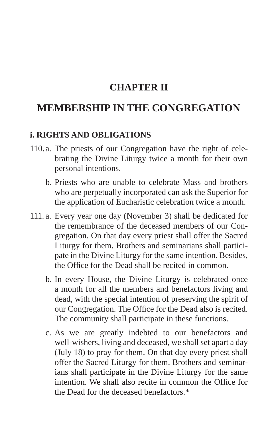## **CHAPTER II**

# **MEMBERSHIP IN THE CONGREGATION**

#### **i. RIGHTS AND OBLIGATIONS**

- 110. a. The priests of our Congregation have the right of celebrating the Divine Liturgy twice a month for their own personal intentions.
	- b. Priests who are unable to celebrate Mass and brothers who are perpetually incorporated can ask the Superior for the application of Eucharistic celebration twice a month.
- 111. a. Every year one day (November 3) shall be dedicated for the remembrance of the deceased members of our Congregation. On that day every priest shall offer the Sacred Liturgy for them. Brothers and seminarians shall participate in the Divine Liturgy for the same intention. Besides, the Office for the Dead shall be recited in common.
	- b. In every House, the Divine Liturgy is celebrated once a month for all the members and benefactors living and dead, with the special intention of preserving the spirit of our Congregation. The Office for the Dead also is recited. The community shall participate in these functions.
	- c. As we are greatly indebted to our benefactors and well-wishers, living and deceased, we shall set apart a day (July 18) to pray for them. On that day every priest shall offer the Sacred Liturgy for them. Brothers and seminarians shall participate in the Divine Liturgy for the same intention. We shall also recite in common the Office for the Dead for the deceased benefactors \*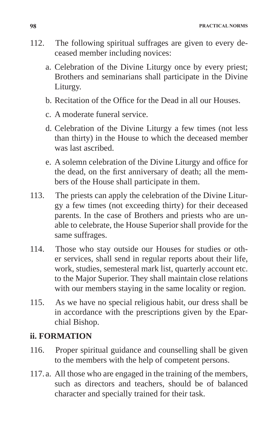- 112. The following spiritual suffrages are given to every deceased member including novices:
	- a. Celebration of the Divine Liturgy once by every priest; Brothers and seminarians shall participate in the Divine Liturgy.
	- b. Recitation of the Office for the Dead in all our Houses.
	- c. A moderate funeral service.
	- d. Celebration of the Divine Liturgy a few times (not less than thirty) in the House to which the deceased member was last ascribed.
	- e. A solemn celebration of the Divine Liturgy and office for the dead, on the first anniversary of death; all the members of the House shall participate in them.
- 113. The priests can apply the celebration of the Divine Liturgy a few times (not exceeding thirty) for their deceased parents. In the case of Brothers and priests who are unable to celebrate, the House Superior shall provide for the same suffrages.
- 114. Those who stay outside our Houses for studies or other services, shall send in regular reports about their life, work, studies, semesteral mark list, quarterly account etc. to the Major Superior. They shall maintain close relations with our members staying in the same locality or region.
- 115. As we have no special religious habit, our dress shall be in accordance with the prescriptions given by the Eparchial Bishop.

## **ii. FORMATION**

- 116. Proper spiritual guidance and counselling shall be given to the members with the help of competent persons.
- 117. a. All those who are engaged in the training of the members, such as directors and teachers, should be of balanced character and specially trained for their task.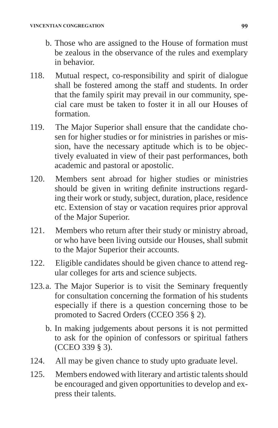- b. Those who are assigned to the House of formation must be zealous in the observance of the rules and exemplary in behavior.
- 118. Mutual respect, co-responsibility and spirit of dialogue shall be fostered among the staff and students. In order that the family spirit may prevail in our community, special care must be taken to foster it in all our Houses of formation.
- 119. The Major Superior shall ensure that the candidate chosen for higher studies or for ministries in parishes or mission, have the necessary aptitude which is to be objectively evaluated in view of their past performances, both academic and pastoral or apostolic.
- 120. Members sent abroad for higher studies or ministries should be given in writing definite instructions regarding their work or study, subject, duration, place, residence etc. Extension of stay or vacation requires prior approval of the Major Superior.
- 121. Members who return after their study or ministry abroad, or who have been living outside our Houses, shall submit to the Major Superior their accounts.
- 122. Eligible candidates should be given chance to attend regular colleges for arts and science subjects.
- 123.a. The Major Superior is to visit the Seminary frequently for consultation concerning the formation of his students especially if there is a question concerning those to be promoted to Sacred Orders (CCEO 356 § 2).
	- b. In making judgements about persons it is not permitted to ask for the opinion of confessors or spiritual fathers (CCEO 339 § 3).
- 124. All may be given chance to study upto graduate level.
- 125. Members endowed with literary and artistic talents should be encouraged and given opportunities to develop and express their talents.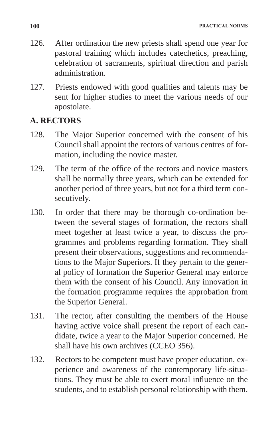- 126. After ordination the new priests shall spend one year for pastoral training which includes catechetics, preaching, celebration of sacraments, spiritual direction and parish administration.
- 127. Priests endowed with good qualities and talents may be sent for higher studies to meet the various needs of our apostolate.

## **A. RECTORS**

- 128. The Major Superior concerned with the consent of his Council shall appoint the rectors of various centres of formation, including the novice master.
- 129. The term of the office of the rectors and novice masters shall be normally three years, which can be extended for another period of three years, but not for a third term consecutively.
- 130. In order that there may be thorough co-ordination between the several stages of formation, the rectors shall meet together at least twice a year, to discuss the programmes and problems regarding formation. They shall present their observations, suggestions and recommendations to the Major Superiors. If they pertain to the general policy of formation the Superior General may enforce them with the consent of his Council. Any innovation in the formation programme requires the approbation from the Superior General.
- 131. The rector, after consulting the members of the House having active voice shall present the report of each candidate, twice a year to the Major Superior concerned. He shall have his own archives (CCEO 356).
- 132. Rectors to be competent must have proper education, experience and awareness of the contemporary life-situations. They must be able to exert moral influence on the students, and to establish personal relationship with them.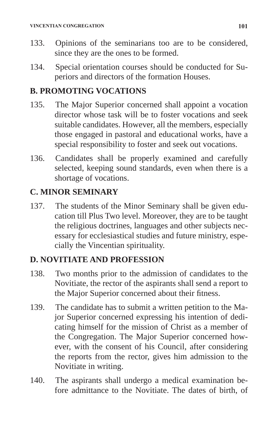- 133. Opinions of the seminarians too are to be considered, since they are the ones to be formed.
- 134. Special orientation courses should be conducted for Superiors and directors of the formation Houses.

#### **B. PROMOTING VOCATIONS**

- 135. The Major Superior concerned shall appoint a vocation director whose task will be to foster vocations and seek suitable candidates. However, all the members, especially those engaged in pastoral and educational works, have a special responsibility to foster and seek out vocations.
- 136. Candidates shall be properly examined and carefully selected, keeping sound standards, even when there is a shortage of vocations.

## **C. MINOR SEMINARY**

137. The students of the Minor Seminary shall be given education till Plus Two level. Moreover, they are to be taught the religious doctrines, languages and other subjects necessary for ecclesiastical studies and future ministry, especially the Vincentian spirituality.

## **D. NOVITIATE AND PROFESSION**

- 138. Two months prior to the admission of candidates to the Novitiate, the rector of the aspirants shall send a report to the Major Superior concerned about their fitness.
- 139. The candidate has to submit a written petition to the Major Superior concerned expressing his intention of dedicating himself for the mission of Christ as a member of the Congregation. The Major Superior concerned however, with the consent of his Council, after considering the reports from the rector, gives him admission to the Novitiate in writing.
- 140. The aspirants shall undergo a medical examination before admittance to the Novitiate. The dates of birth, of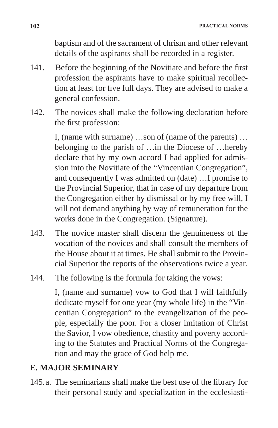baptism and of the sacrament of chrism and other relevant details of the aspirants shall be recorded in a register.

- 141. Before the beginning of the Novitiate and before the first profession the aspirants have to make spiritual recollection at least for five full days. They are advised to make a general confession.
- 142. The novices shall make the following declaration before the first profession:

 I, (name with surname) …son of (name of the parents) … belonging to the parish of …in the Diocese of …hereby declare that by my own accord I had applied for admission into the Novitiate of the "Vincentian Congregation", and consequently I was admitted on (date) …I promise to the Provincial Superior, that in case of my departure from the Congregation either by dismissal or by my free will, I will not demand anything by way of remuneration for the works done in the Congregation. (Signature).

- 143. The novice master shall discern the genuineness of the vocation of the novices and shall consult the members of the House about it at times. He shall submit to the Provincial Superior the reports of the observations twice a year.
- 144. The following is the formula for taking the vows:

 I, (name and surname) vow to God that I will faithfully dedicate myself for one year (my whole life) in the "Vincentian Congregation" to the evangelization of the people, especially the poor. For a closer imitation of Christ the Savior, I vow obedience, chastity and poverty according to the Statutes and Practical Norms of the Congregation and may the grace of God help me.

## **E. MAJOR SEMINARY**

145.a. The seminarians shall make the best use of the library for their personal study and specialization in the ecclesiasti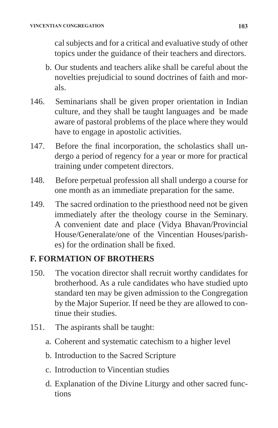cal subjects and for a critical and evaluative study of other topics under the guidance of their teachers and directors.

- b. Our students and teachers alike shall be careful about the novelties prejudicial to sound doctrines of faith and morals.
- 146. Seminarians shall be given proper orientation in Indian culture, and they shall be taught languages and be made aware of pastoral problems of the place where they would have to engage in apostolic activities.
- 147. Before the final incorporation, the scholastics shall undergo a period of regency for a year or more for practical training under competent directors.
- 148. Before perpetual profession all shall undergo a course for one month as an immediate preparation for the same.
- 149. The sacred ordination to the priesthood need not be given immediately after the theology course in the Seminary. A convenient date and place (Vidya Bhavan/Provincial House/Generalate/one of the Vincentian Houses/parishes) for the ordination shall be fixed.

## **F. FORMATION OF BROTHERS**

- 150. The vocation director shall recruit worthy candidates for brotherhood. As a rule candidates who have studied upto standard ten may be given admission to the Congregation by the Major Superior. If need be they are allowed to continue their studies.
- 151. The aspirants shall be taught:
	- a. Coherent and systematic catechism to a higher level
	- b. Introduction to the Sacred Scripture
	- c. Introduction to Vincentian studies
	- d. Explanation of the Divine Liturgy and other sacred functions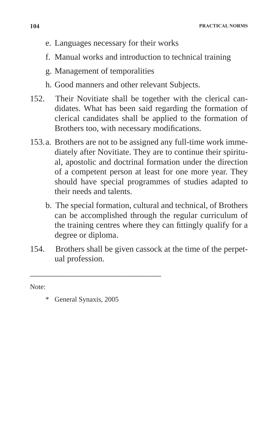- e. Languages necessary for their works
- f. Manual works and introduction to technical training
- g. Management of temporalities
- h. Good manners and other relevant Subjects.
- 152. Their Novitiate shall be together with the clerical candidates. What has been said regarding the formation of clerical candidates shall be applied to the formation of Brothers too, with necessary modifications.
- 153.a. Brothers are not to be assigned any full-time work immediately after Novitiate. They are to continue their spiritual, apostolic and doctrinal formation under the direction of a competent person at least for one more year. They should have special programmes of studies adapted to their needs and talents.
	- b. The special formation, cultural and technical, of Brothers can be accomplished through the regular curriculum of the training centres where they can fittingly qualify for a degree or diploma.
- 154. Brothers shall be given cassock at the time of the perpetual profession.

Note:

General Synaxis, 2005

\_\_\_\_\_\_\_\_\_\_\_\_\_\_\_\_\_\_\_\_\_\_\_\_\_\_\_\_\_\_\_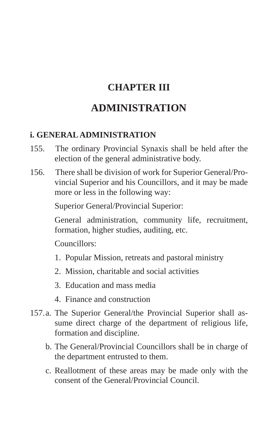# **CHAPTER III**

# **ADMINISTRATION**

## **i. GENERAL ADMINISTRATION**

- 155. The ordinary Provincial Synaxis shall be held after the election of the general administrative body.
- 156. There shall be division of work for Superior General/Provincial Superior and his Councillors, and it may be made more or less in the following way:

Superior General/Provincial Superior:

 General administration, community life, recruitment, formation, higher studies, auditing, etc.

Councillors:

- 1. Popular Mission, retreats and pastoral ministry
- 2. Mission, charitable and social activities
- 3. Education and mass media
- 4. Finance and construction
- 157.a. The Superior General/the Provincial Superior shall assume direct charge of the department of religious life, formation and discipline.
	- b. The General/Provincial Councillors shall be in charge of the department entrusted to them.
	- c. Reallotment of these areas may be made only with the consent of the General/Provincial Council.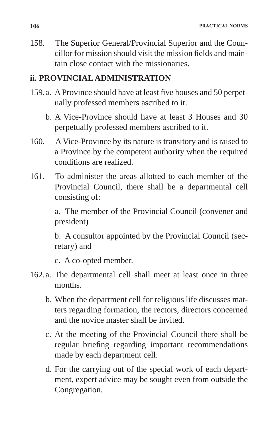158. The Superior General/Provincial Superior and the Councillor for mission should visit the mission fields and maintain close contact with the missionaries.

#### **ii. PROVINCIAL ADMINISTRATION**

- 159.a. A Province should have at least five houses and 50 perpetually professed members ascribed to it.
	- b. A Vice-Province should have at least 3 Houses and 30 perpetually professed members ascribed to it.
- 160. A Vice-Province by its nature is transitory and is raised to a Province by the competent authority when the required conditions are realized.
- 161. To administer the areas allotted to each member of the Provincial Council, there shall be a departmental cell consisting of:

 a. The member of the Provincial Council (convener and president)

 b. A consultor appointed by the Provincial Council (secretary) and

c. A co-opted member.

- 162.a. The departmental cell shall meet at least once in three months.
	- b. When the department cell for religious life discusses matters regarding formation, the rectors, directors concerned and the novice master shall be invited.
	- c. At the meeting of the Provincial Council there shall be regular briefing regarding important recommendations made by each department cell.
	- d. For the carrying out of the special work of each department, expert advice may be sought even from outside the Congregation.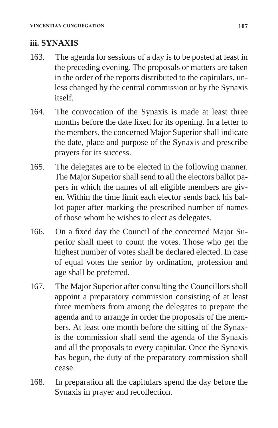## **iii. SYNAXIS**

- 163. The agenda for sessions of a day is to be posted at least in the preceding evening. The proposals or matters are taken in the order of the reports distributed to the capitulars, unless changed by the central commission or by the Synaxis itself.
- 164. The convocation of the Synaxis is made at least three months before the date fixed for its opening. In a letter to the members, the concerned Major Superior shall indicate the date, place and purpose of the Synaxis and prescribe prayers for its success.
- 165. The delegates are to be elected in the following manner. The Major Superior shall send to all the electors ballot papers in which the names of all eligible members are given. Within the time limit each elector sends back his ballot paper after marking the prescribed number of names of those whom he wishes to elect as delegates.
- 166. On a fixed day the Council of the concerned Major Superior shall meet to count the votes. Those who get the highest number of votes shall be declared elected. In case of equal votes the senior by ordination, profession and age shall be preferred.
- 167. The Major Superior after consulting the Councillors shall appoint a preparatory commission consisting of at least three members from among the delegates to prepare the agenda and to arrange in order the proposals of the members. At least one month before the sitting of the Synaxis the commission shall send the agenda of the Synaxis and all the proposals to every capitular. Once the Synaxis has begun, the duty of the preparatory commission shall cease.
- 168. In preparation all the capitulars spend the day before the Synaxis in prayer and recollection.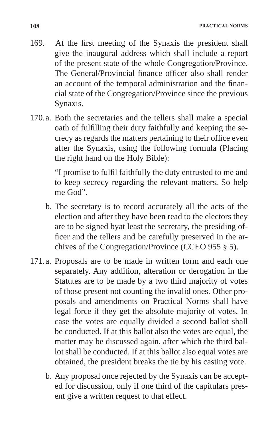- 169. At the first meeting of the Synaxis the president shall give the inaugural address which shall include a report of the present state of the whole Congregation/Province. The General/Provincial finance officer also shall render an account of the temporal administration and the financial state of the Congregation/Province since the previous Synaxis.
- 170.a. Both the secretaries and the tellers shall make a special oath of fulfilling their duty faithfully and keeping the secrecy as regards the matters pertaining to their office even after the Synaxis, using the following formula (Placing the right hand on the Holy Bible):

"I promise to fulfil faithfully the duty entrusted to me and to keep secrecy regarding the relevant matters. So help me God".

- b. The secretary is to record accurately all the acts of the election and after they have been read to the electors they are to be signed byat least the secretary, the presiding officer and the tellers and be carefully preserved in the archives of the Congregation/Province (CCEO 955 § 5).
- 171.a. Proposals are to be made in written form and each one separately. Any addition, alteration or derogation in the Statutes are to be made by a two third majority of votes of those present not counting the invalid ones. Other proposals and amendments on Practical Norms shall have legal force if they get the absolute majority of votes. In case the votes are equally divided a second ballot shall be conducted. If at this ballot also the votes are equal, the matter may be discussed again, after which the third ballot shall be conducted. If at this ballot also equal votes are obtained, the president breaks the tie by his casting vote.
	- b. Any proposal once rejected by the Synaxis can be accepted for discussion, only if one third of the capitulars present give a written request to that effect.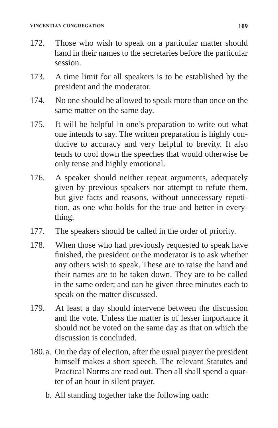- 172. Those who wish to speak on a particular matter should hand in their names to the secretaries before the particular session.
- 173. A time limit for all speakers is to be established by the president and the moderator.
- 174. No one should be allowed to speak more than once on the same matter on the same day.
- 175. It will be helpful in one's preparation to write out what one intends to say. The written preparation is highly conducive to accuracy and very helpful to brevity. It also tends to cool down the speeches that would otherwise be only tense and highly emotional.
- 176. A speaker should neither repeat arguments, adequately given by previous speakers nor attempt to refute them, but give facts and reasons, without unnecessary repetition, as one who holds for the true and better in everything.
- 177. The speakers should be called in the order of priority.
- 178. When those who had previously requested to speak have finished, the president or the moderator is to ask whether any others wish to speak. These are to raise the hand and their names are to be taken down. They are to be called in the same order; and can be given three minutes each to speak on the matter discussed.
- 179. At least a day should intervene between the discussion and the vote. Unless the matter is of lesser importance it should not be voted on the same day as that on which the discussion is concluded.
- 180.a. On the day of election, after the usual prayer the president himself makes a short speech. The relevant Statutes and Practical Norms are read out. Then all shall spend a quarter of an hour in silent prayer.
	- b. All standing together take the following oath: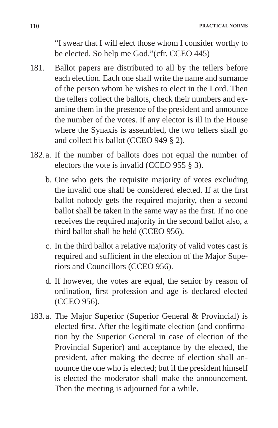"I swear that I will elect those whom I consider worthy to be elected. So help me God."(cfr. CCEO 445)

- 181. Ballot papers are distributed to all by the tellers before each election. Each one shall write the name and surname of the person whom he wishes to elect in the Lord. Then the tellers collect the ballots, check their numbers and examine them in the presence of the president and announce the number of the votes. If any elector is ill in the House where the Synaxis is assembled, the two tellers shall go and collect his ballot (CCEO 949 § 2).
- 182.a. If the number of ballots does not equal the number of electors the vote is invalid (CCEO 955 § 3).
	- b. One who gets the requisite majority of votes excluding the invalid one shall be considered elected. If at the first ballot nobody gets the required majority, then a second ballot shall be taken in the same way as the first. If no one receives the required majority in the second ballot also, a third ballot shall be held (CCEO 956).
	- c. In the third ballot a relative majority of valid votes cast is required and sufficient in the election of the Major Superiors and Councillors (CCEO 956).
	- d. If however, the votes are equal, the senior by reason of ordination, first profession and age is declared elected (CCEO 956).
- 183.a. The Major Superior (Superior General & Provincial) is elected first. After the legitimate election (and confirmation by the Superior General in case of election of the Provincial Superior) and acceptance by the elected, the president, after making the decree of election shall announce the one who is elected; but if the president himself is elected the moderator shall make the announcement. Then the meeting is adjourned for a while.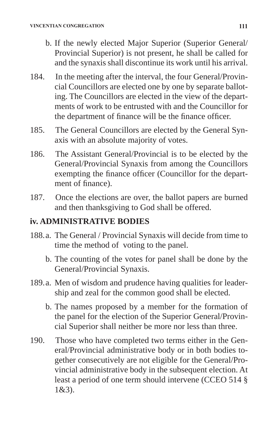- b. If the newly elected Major Superior (Superior General/ Provincial Superior) is not present, he shall be called for and the synaxis shall discontinue its work until his arrival.
- 184. In the meeting after the interval, the four General/Provincial Councillors are elected one by one by separate balloting. The Councillors are elected in the view of the departments of work to be entrusted with and the Councillor for the department of finance will be the finance officer.
- 185. The General Councillors are elected by the General Synaxis with an absolute majority of votes.
- 186. The Assistant General/Provincial is to be elected by the General/Provincial Synaxis from among the Councillors exempting the finance officer (Councillor for the department of finance).
- 187. Once the elections are over, the ballot papers are burned and then thanksgiving to God shall be offered.

## **iv. ADMINISTRATIVE BODIES**

- 188.a. The General / Provincial Synaxis will decide from time to time the method of voting to the panel.
	- b. The counting of the votes for panel shall be done by the General/Provincial Synaxis.
- 189.a. Men of wisdom and prudence having qualities for leadership and zeal for the common good shall be elected.
	- b. The names proposed by a member for the formation of the panel for the election of the Superior General/Provincial Superior shall neither be more nor less than three.
- 190. Those who have completed two terms either in the General/Provincial administrative body or in both bodies together consecutively are not eligible for the General/Provincial administrative body in the subsequent election. At least a period of one term should intervene (CCEO 514 § 1&3).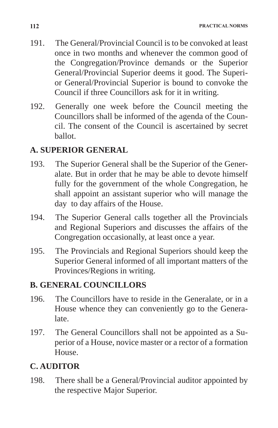- 191. The General/Provincial Council is to be convoked at least once in two months and whenever the common good of the Congregation/Province demands or the Superior General/Provincial Superior deems it good. The Superior General/Provincial Superior is bound to convoke the Council if three Councillors ask for it in writing.
- 192. Generally one week before the Council meeting the Councillors shall be informed of the agenda of the Council. The consent of the Council is ascertained by secret ballot.

## **A. SUPERIOR GENERAL**

- 193. The Superior General shall be the Superior of the Generalate. But in order that he may be able to devote himself fully for the government of the whole Congregation, he shall appoint an assistant superior who will manage the day to day affairs of the House.
- 194. The Superior General calls together all the Provincials and Regional Superiors and discusses the affairs of the Congregation occasionally, at least once a year.
- 195. The Provincials and Regional Superiors should keep the Superior General informed of all important matters of the Provinces/Regions in writing.

## **B. GENERAL COUNCILLORS**

- 196. The Councillors have to reside in the Generalate, or in a House whence they can conveniently go to the Generalate.
- 197. The General Councillors shall not be appointed as a Superior of a House, novice master or a rector of a formation House.

## **C. AUDITOR**

198. There shall be a General/Provincial auditor appointed by the respective Major Superior.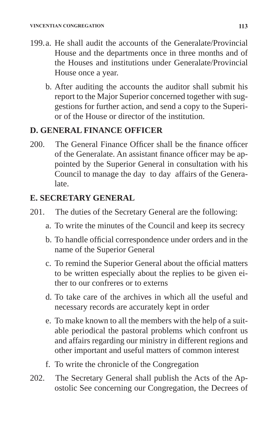- 199.a. He shall audit the accounts of the Generalate/Provincial House and the departments once in three months and of the Houses and institutions under Generalate/Provincial House once a year.
	- b. After auditing the accounts the auditor shall submit his report to the Major Superior concerned together with suggestions for further action, and send a copy to the Superior of the House or director of the institution.

## **D. GENERAL FINANCE OFFICER**

200. The General Finance Officer shall be the finance officer of the Generalate. An assistant finance officer may be appointed by the Superior General in consultation with his Council to manage the day to day affairs of the Generalate.

## **E. SECRETARY GENERAL**

- 201. The duties of the Secretary General are the following:
	- a. To write the minutes of the Council and keep its secrecy
	- b. To handle official correspondence under orders and in the name of the Superior General
	- c. To remind the Superior General about the official matters to be written especially about the replies to be given either to our confreres or to externs
	- d. To take care of the archives in which all the useful and necessary records are accurately kept in order
	- e. To make known to all the members with the help of a suitable periodical the pastoral problems which confront us and affairs regarding our ministry in different regions and other important and useful matters of common interest
	- f. To write the chronicle of the Congregation
- 202. The Secretary General shall publish the Acts of the Apostolic See concerning our Congregation, the Decrees of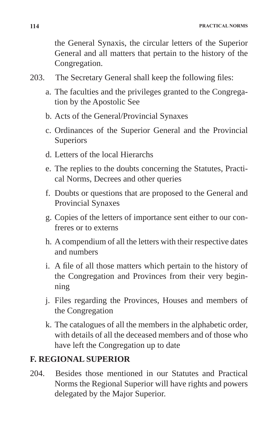the General Synaxis, the circular letters of the Superior General and all matters that pertain to the history of the Congregation.

- 203. The Secretary General shall keep the following files:
	- a. The faculties and the privileges granted to the Congregation by the Apostolic See
	- b. Acts of the General/Provincial Synaxes
	- c. Ordinances of the Superior General and the Provincial **Superiors**
	- d. Letters of the local Hierarchs
	- e. The replies to the doubts concerning the Statutes, Practical Norms, Decrees and other queries
	- f. Doubts or questions that are proposed to the General and Provincial Synaxes
	- g. Copies of the letters of importance sent either to our confreres or to externs
	- h. A compendium of all the letters with their respective dates and numbers
	- i. A file of all those matters which pertain to the history of the Congregation and Provinces from their very beginning
	- j. Files regarding the Provinces, Houses and members of the Congregation
	- k. The catalogues of all the members in the alphabetic order, with details of all the deceased members and of those who have left the Congregation up to date

## **F. REGIONAL SUPERIOR**

204. Besides those mentioned in our Statutes and Practical Norms the Regional Superior will have rights and powers delegated by the Major Superior.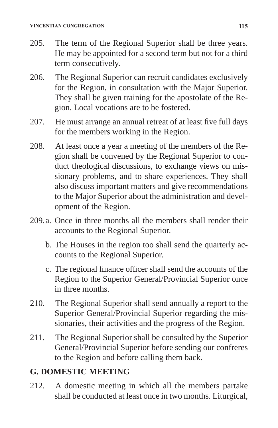- 205. The term of the Regional Superior shall be three years. He may be appointed for a second term but not for a third term consecutively.
- 206. The Regional Superior can recruit candidates exclusively for the Region, in consultation with the Major Superior. They shall be given training for the apostolate of the Region. Local vocations are to be fostered.
- 207. He must arrange an annual retreat of at least five full days for the members working in the Region.
- 208. At least once a year a meeting of the members of the Region shall be convened by the Regional Superior to conduct theological discussions, to exchange views on missionary problems, and to share experiences. They shall also discuss important matters and give recommendations to the Major Superior about the administration and development of the Region.
- 209.a. Once in three months all the members shall render their accounts to the Regional Superior.
	- b. The Houses in the region too shall send the quarterly accounts to the Regional Superior.
	- c. The regional finance officer shall send the accounts of the Region to the Superior General/Provincial Superior once in three months.
- 210. The Regional Superior shall send annually a report to the Superior General/Provincial Superior regarding the missionaries, their activities and the progress of the Region.
- 211. The Regional Superior shall be consulted by the Superior General/Provincial Superior before sending our confreres to the Region and before calling them back.

## **G. DOMESTIC MEETING**

212. A domestic meeting in which all the members partake shall be conducted at least once in two months. Liturgical,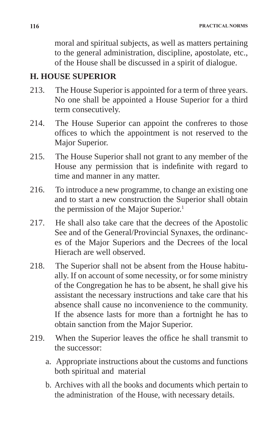moral and spiritual subjects, as well as matters pertaining to the general administration, discipline, apostolate, etc., of the House shall be discussed in a spirit of dialogue.

### **H. HOUSE SUPERIOR**

- 213. The House Superior is appointed for a term of three years. No one shall be appointed a House Superior for a third term consecutively.
- 214. The House Superior can appoint the confreres to those offices to which the appointment is not reserved to the Major Superior.
- 215. The House Superior shall not grant to any member of the House any permission that is indefinite with regard to time and manner in any matter.
- 216. To introduce a new programme, to change an existing one and to start a new construction the Superior shall obtain the permission of the Major Superior.<sup>1</sup>
- 217. He shall also take care that the decrees of the Apostolic See and of the General/Provincial Synaxes, the ordinances of the Major Superiors and the Decrees of the local Hierach are well observed.
- 218. The Superior shall not be absent from the House habitually. If on account of some necessity, or for some ministry of the Congregation he has to be absent, he shall give his assistant the necessary instructions and take care that his absence shall cause no inconvenience to the community. If the absence lasts for more than a fortnight he has to obtain sanction from the Major Superior.
- 219. When the Superior leaves the office he shall transmit to the successor:
	- a. Appropriate instructions about the customs and functions both spiritual and material
	- b. Archives with all the books and documents which pertain to the administration of the House, with necessary details.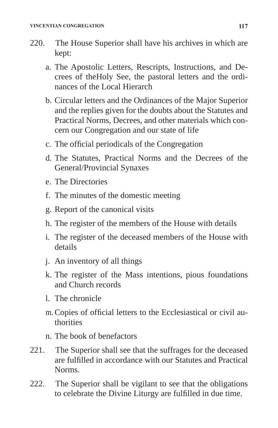- 220. The House Superior shall have his archives in which are kept:
	- a. The Apostolic Letters, Rescripts, Instructions, and Decrees of theHoly See, the pastoral letters and the ordinances of the Local Hierarch
	- b. Circular letters and the Ordinances of the Major Superior and the replies given for the doubts about the Statutes and Practical Norms, Decrees, and other materials which concern our Congregation and our state of life
	- c. The official periodicals of the Congregation
	- d. The Statutes, Practical Norms and the Decrees of the General/Provincial Synaxes
	- e. The Directories
	- f. The minutes of the domestic meeting
	- g. Report of the canonical visits
	- h. The register of the members of the House with details
	- i. The register of the deceased members of the House with details
	- j. An inventory of all things
	- k. The register of the Mass intentions, pious foundations and Church records
	- l. The chronicle
	- m.Copies of official letters to the Ecclesiastical or civil authorities
	- n. The book of benefactors
- 221. The Superior shall see that the suffrages for the deceased are fulfilled in accordance with our Statutes and Practical Norms.
- 222. The Superior shall be vigilant to see that the obligations to celebrate the Divine Liturgy are fulfilled in due time.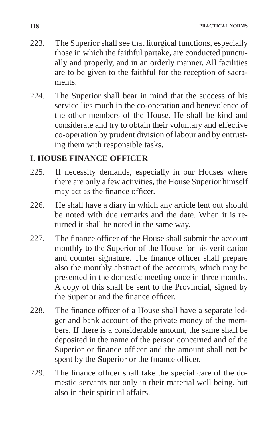- 223. The Superior shall see that liturgical functions, especially those in which the faithful partake, are conducted punctually and properly, and in an orderly manner. All facilities are to be given to the faithful for the reception of sacraments.
- 224. The Superior shall bear in mind that the success of his service lies much in the co-operation and benevolence of the other members of the House. He shall be kind and considerate and try to obtain their voluntary and effective co-operation by prudent division of labour and by entrusting them with responsible tasks.

## **I. HOUSE FINANCE OFFICER**

- 225. If necessity demands, especially in our Houses where there are only a few activities, the House Superior himself may act as the finance officer.
- 226. He shall have a diary in which any article lent out should be noted with due remarks and the date. When it is returned it shall be noted in the same way.
- 227. The finance officer of the House shall submit the account monthly to the Superior of the House for his verification and counter signature. The finance officer shall prepare also the monthly abstract of the accounts, which may be presented in the domestic meeting once in three months. A copy of this shall be sent to the Provincial, signed by the Superior and the finance officer.
- 228. The finance officer of a House shall have a separate ledger and bank account of the private money of the members. If there is a considerable amount, the same shall be deposited in the name of the person concerned and of the Superior or finance officer and the amount shall not be spent by the Superior or the finance officer.
- 229. The finance officer shall take the special care of the domestic servants not only in their material well being, but also in their spiritual affairs.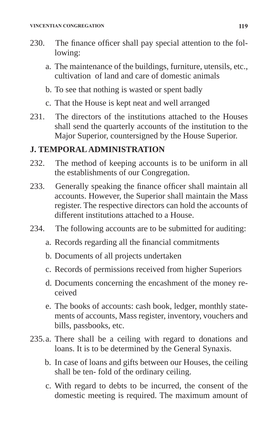- 230. The finance officer shall pay special attention to the following:
	- a. The maintenance of the buildings, furniture, utensils, etc., cultivation of land and care of domestic animals
	- b. To see that nothing is wasted or spent badly
	- c. That the House is kept neat and well arranged
- 231. The directors of the institutions attached to the Houses shall send the quarterly accounts of the institution to the Major Superior, countersigned by the House Superior.

## **J. TEMPORAL ADMINISTRATION**

- 232. The method of keeping accounts is to be uniform in all the establishments of our Congregation.
- 233. Generally speaking the finance officer shall maintain all accounts. However, the Superior shall maintain the Mass register. The respective directors can hold the accounts of different institutions attached to a House.
- 234. The following accounts are to be submitted for auditing:
	- a. Records regarding all the financial commitments
	- b. Documents of all projects undertaken
	- c. Records of permissions received from higher Superiors
	- d. Documents concerning the encashment of the money received
	- e. The books of accounts: cash book, ledger, monthly statements of accounts, Mass register, inventory, vouchers and bills, passbooks, etc.
- 235.a. There shall be a ceiling with regard to donations and loans. It is to be determined by the General Synaxis.
	- b. In case of loans and gifts between our Houses, the ceiling shall be ten- fold of the ordinary ceiling.
	- c. With regard to debts to be incurred, the consent of the domestic meeting is required. The maximum amount of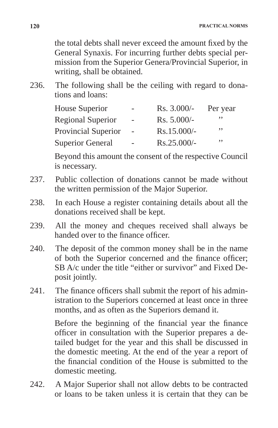the total debts shall never exceed the amount fixed by the General Synaxis. For incurring further debts special permission from the Superior Genera/Provincial Superior, in writing, shall be obtained.

236. The following shall be the ceiling with regard to donations and loans:

| <b>House Superior</b>      | -        | Rs. 3.000/-   | Per year |
|----------------------------|----------|---------------|----------|
| <b>Regional Superior</b>   | $\sim$   | $Rs. 5.000/-$ | ,,       |
| <b>Provincial Superior</b> | $\sim$   | Rs.15.000/-   | $, \,$   |
| <b>Superior General</b>    | $\equiv$ | Rs.25.000/-   | ,,       |

 Beyond this amount the consent of the respective Council is necessary.

- 237. Public collection of donations cannot be made without the written permission of the Major Superior.
- 238. In each House a register containing details about all the donations received shall be kept.
- 239. All the money and cheques received shall always be handed over to the finance officer.
- 240. The deposit of the common money shall be in the name of both the Superior concerned and the finance officer; SB A/c under the title "either or survivor" and Fixed Deposit jointly.
- 241. The finance officers shall submit the report of his administration to the Superiors concerned at least once in three months, and as often as the Superiors demand it.

Before the beginning of the financial year the finance officer in consultation with the Superior prepares a detailed budget for the year and this shall be discussed in the domestic meeting. At the end of the year a report of the financial condition of the House is submitted to the domestic meeting.

242. A Major Superior shall not allow debts to be contracted or loans to be taken unless it is certain that they can be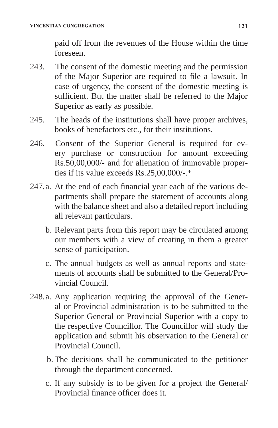paid off from the revenues of the House within the time foreseen.

- 243. The consent of the domestic meeting and the permission of the Major Superior are required to file a lawsuit. In case of urgency, the consent of the domestic meeting is sufficient. But the matter shall be referred to the Major Superior as early as possible.
- 245. The heads of the institutions shall have proper archives, books of benefactors etc., for their institutions.
- 246. Consent of the Superior General is required for every purchase or construction for amount exceeding Rs.50,00,000/- and for alienation of immovable properties if its value exceeds Rs.25,00,000/-.\*
- 247.a. At the end of each financial year each of the various departments shall prepare the statement of accounts along with the balance sheet and also a detailed report including all relevant particulars.
	- b. Relevant parts from this report may be circulated among our members with a view of creating in them a greater sense of participation.
	- c. The annual budgets as well as annual reports and statements of accounts shall be submitted to the General/Provincial Council.
- 248.a. Any application requiring the approval of the General or Provincial administration is to be submitted to the Superior General or Provincial Superior with a copy to the respective Councillor. The Councillor will study the application and submit his observation to the General or Provincial Council.
	- b. The decisions shall be communicated to the petitioner through the department concerned.
	- c. If any subsidy is to be given for a project the General/ Provincial finance officer does it.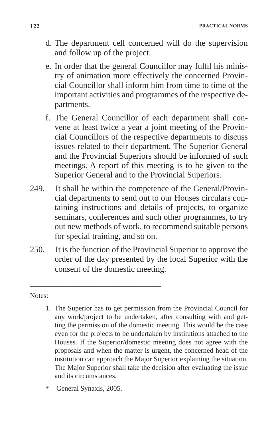- d. The department cell concerned will do the supervision and follow up of the project.
- e. In order that the general Councillor may fulfil his ministry of animation more effectively the concerned Provincial Councillor shall inform him from time to time of the important activities and programmes of the respective departments.
- f. The General Councillor of each department shall convene at least twice a year a joint meeting of the Provincial Councillors of the respective departments to discuss issues related to their department. The Superior General and the Provincial Superiors should be informed of such meetings. A report of this meeting is to be given to the Superior General and to the Provincial Superiors.
- 249. It shall be within the competence of the General/Provincial departments to send out to our Houses circulars containing instructions and details of projects, to organize seminars, conferences and such other programmes, to try out new methods of work, to recommend suitable persons for special training, and so on.
- 250. It is the function of the Provincial Superior to approve the order of the day presented by the local Superior with the consent of the domestic meeting.

#### Notes:

- 1. The Superior has to get permission from the Provincial Council for any work/project to be undertaken, after consulting with and getting the permission of the domestic meeting. This would be the case even for the projects to be undertaken by institutions attached to the Houses. If the Superior/domestic meeting does not agree with the proposals and when the matter is urgent, the concerned head of the institution can approach the Major Superior explaining the situation. The Major Superior shall take the decision after evaluating the issue and its circumstances.
- General Synaxis, 2005.

\_\_\_\_\_\_\_\_\_\_\_\_\_\_\_\_\_\_\_\_\_\_\_\_\_\_\_\_\_\_\_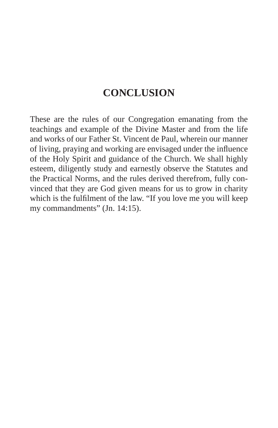# **CONCLUSION**

These are the rules of our Congregation emanating from the teachings and example of the Divine Master and from the life and works of our Father St. Vincent de Paul, wherein our manner of living, praying and working are envisaged under the influence of the Holy Spirit and guidance of the Church. We shall highly esteem, diligently study and earnestly observe the Statutes and the Practical Norms, and the rules derived therefrom, fully convinced that they are God given means for us to grow in charity which is the fulfilment of the law. "If you love me you will keep my commandments" (Jn. 14:15).